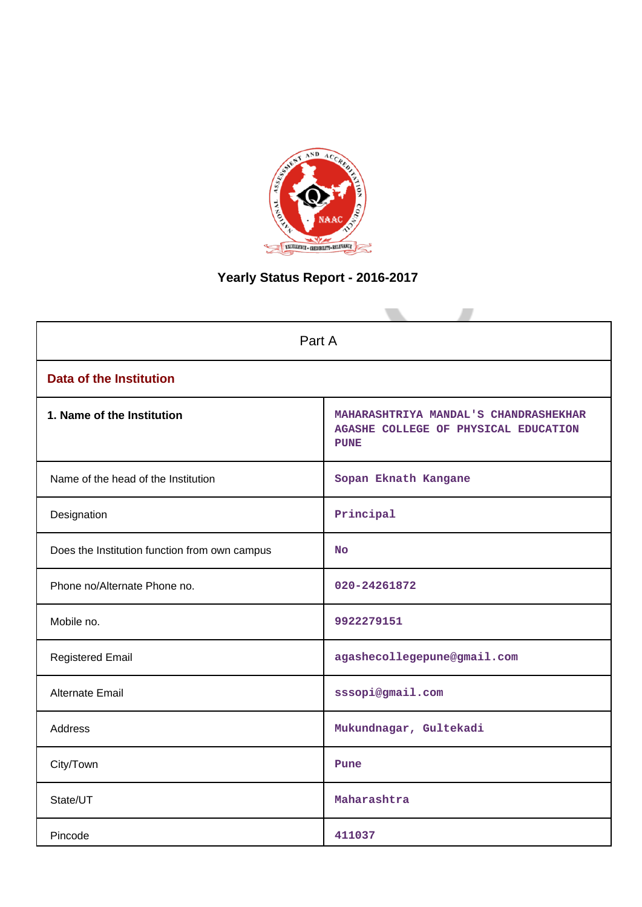

# **Yearly Status Report - 2016-2017**

| Part A                                        |                                                                                              |  |  |  |
|-----------------------------------------------|----------------------------------------------------------------------------------------------|--|--|--|
| <b>Data of the Institution</b>                |                                                                                              |  |  |  |
| 1. Name of the Institution                    | MAHARASHTRIYA MANDAL'S CHANDRASHEKHAR<br>AGASHE COLLEGE OF PHYSICAL EDUCATION<br><b>PUNE</b> |  |  |  |
| Name of the head of the Institution           | Sopan Eknath Kangane                                                                         |  |  |  |
| Designation                                   | Principal                                                                                    |  |  |  |
| Does the Institution function from own campus | <b>No</b>                                                                                    |  |  |  |
| Phone no/Alternate Phone no.                  | 020-24261872                                                                                 |  |  |  |
| Mobile no.                                    | 9922279151                                                                                   |  |  |  |
| <b>Registered Email</b>                       | agashecollegepune@gmail.com                                                                  |  |  |  |
| <b>Alternate Email</b>                        | sssopi@gmail.com                                                                             |  |  |  |
| <b>Address</b>                                | Mukundnagar, Gultekadi                                                                       |  |  |  |
| City/Town                                     | Pune                                                                                         |  |  |  |
| State/UT                                      | Maharashtra                                                                                  |  |  |  |
| Pincode                                       | 411037                                                                                       |  |  |  |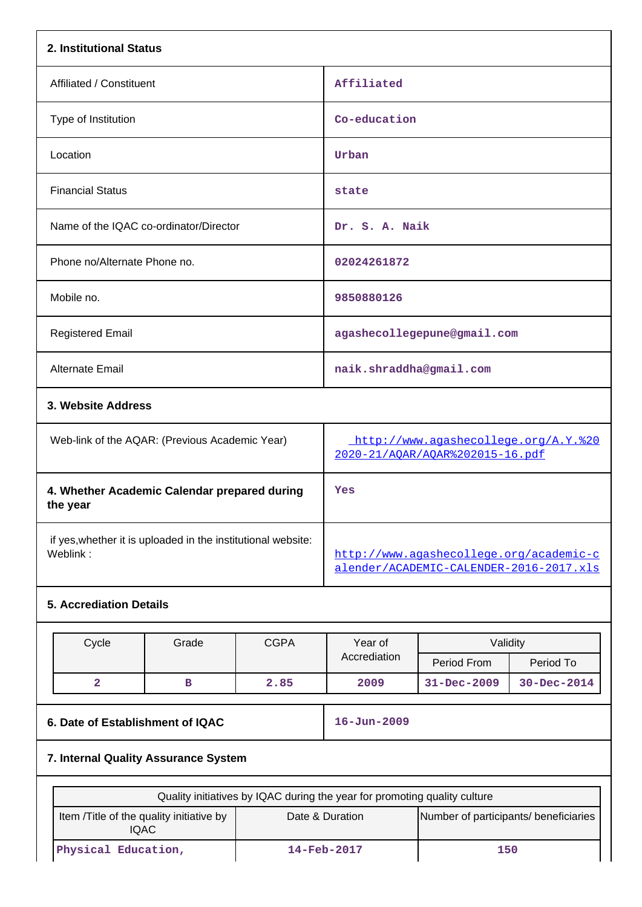|                                                                           | 2. Institutional Status          |             |                                                                                    |                             |                   |  |
|---------------------------------------------------------------------------|----------------------------------|-------------|------------------------------------------------------------------------------------|-----------------------------|-------------------|--|
| Affiliated / Constituent                                                  |                                  |             | Affiliated                                                                         |                             |                   |  |
| Type of Institution                                                       |                                  |             |                                                                                    | Co-education                |                   |  |
| Location                                                                  |                                  |             | Urban                                                                              |                             |                   |  |
| <b>Financial Status</b>                                                   |                                  |             | state                                                                              |                             |                   |  |
| Name of the IQAC co-ordinator/Director                                    |                                  |             | Dr. S. A. Naik                                                                     |                             |                   |  |
| Phone no/Alternate Phone no.                                              |                                  |             | 02024261872                                                                        |                             |                   |  |
| Mobile no.                                                                |                                  |             | 9850880126                                                                         |                             |                   |  |
| <b>Registered Email</b>                                                   |                                  |             |                                                                                    | agashecollegepune@gmail.com |                   |  |
| Alternate Email                                                           |                                  |             | naik.shraddha@gmail.com                                                            |                             |                   |  |
|                                                                           | 3. Website Address               |             |                                                                                    |                             |                   |  |
| Web-link of the AQAR: (Previous Academic Year)                            |                                  |             | http://www.agashecollege.org/A.Y. %20<br>2020-21/AQAR/AQAR%202015-16.pdf           |                             |                   |  |
| 4. Whether Academic Calendar prepared during<br>the year                  |                                  |             | Yes                                                                                |                             |                   |  |
| if yes, whether it is uploaded in the institutional website:<br>Weblink:  |                                  |             | http://www.aqashecollege.org/academic-c<br>alender/ACADEMIC-CALENDER-2016-2017.xls |                             |                   |  |
| <b>5. Accrediation Details</b>                                            |                                  |             |                                                                                    |                             |                   |  |
| Cycle                                                                     | Grade                            | <b>CGPA</b> | Year of                                                                            | Validity                    |                   |  |
|                                                                           |                                  |             | Accrediation                                                                       | Period From                 | Period To         |  |
| $\overline{\mathbf{2}}$                                                   | в                                | 2.85        | 2009                                                                               | $31 - Dec - 2009$           | $30 - Dec - 2014$ |  |
|                                                                           | 6. Date of Establishment of IQAC |             |                                                                                    | $16 - Jun - 2009$           |                   |  |
| 7. Internal Quality Assurance System                                      |                                  |             |                                                                                    |                             |                   |  |
| Quality initiatives by IQAC during the year for promoting quality culture |                                  |             |                                                                                    |                             |                   |  |
| Item /Title of the quality initiative by<br><b>IQAC</b>                   |                                  |             | Date & Duration<br>Number of participants/ beneficiaries                           |                             |                   |  |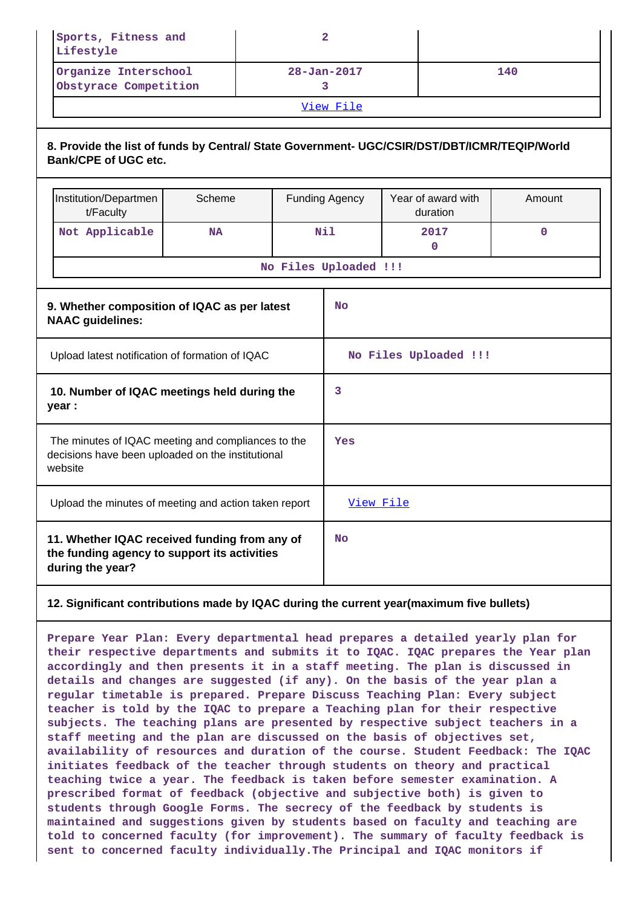| Sports, Fitness and<br>Lifestyle              |                   |     |  |  |  |
|-----------------------------------------------|-------------------|-----|--|--|--|
| Organize Interschool<br>Obstyrace Competition | $28 - Jan - 2017$ | 140 |  |  |  |
| View File                                     |                   |     |  |  |  |

#### **8. Provide the list of funds by Central/ State Government- UGC/CSIR/DST/DBT/ICMR/TEQIP/World Bank/CPE of UGC etc.**

|                                                                                                                    | Institution/Departmen<br>t/Faculty                                                                                | Scheme    |           | <b>Funding Agency</b> | Year of award with<br>duration | Amount   |
|--------------------------------------------------------------------------------------------------------------------|-------------------------------------------------------------------------------------------------------------------|-----------|-----------|-----------------------|--------------------------------|----------|
|                                                                                                                    | Not Applicable                                                                                                    | <b>NA</b> |           | Nil                   | 2017<br>$\mathbf 0$            | $\Omega$ |
|                                                                                                                    |                                                                                                                   |           |           | No Files Uploaded !!! |                                |          |
| 9. Whether composition of IQAC as per latest<br><b>NAAC</b> guidelines:                                            |                                                                                                                   |           |           | <b>No</b>             |                                |          |
| Upload latest notification of formation of IQAC                                                                    |                                                                                                                   |           |           | No Files Uploaded !!! |                                |          |
| 10. Number of IQAC meetings held during the<br>year :                                                              |                                                                                                                   |           | 3         |                       |                                |          |
| The minutes of IQAC meeting and compliances to the<br>decisions have been uploaded on the institutional<br>website |                                                                                                                   |           |           | Yes                   |                                |          |
| Upload the minutes of meeting and action taken report                                                              |                                                                                                                   |           | View File |                       |                                |          |
|                                                                                                                    | 11. Whether IQAC received funding from any of<br>the funding agency to support its activities<br>during the year? |           |           | <b>No</b>             |                                |          |

#### **12. Significant contributions made by IQAC during the current year(maximum five bullets)**

**Prepare Year Plan: Every departmental head prepares a detailed yearly plan for their respective departments and submits it to IQAC. IQAC prepares the Year plan accordingly and then presents it in a staff meeting. The plan is discussed in details and changes are suggested (if any). On the basis of the year plan a regular timetable is prepared. Prepare Discuss Teaching Plan: Every subject teacher is told by the IQAC to prepare a Teaching plan for their respective subjects. The teaching plans are presented by respective subject teachers in a staff meeting and the plan are discussed on the basis of objectives set, availability of resources and duration of the course. Student Feedback: The IQAC initiates feedback of the teacher through students on theory and practical teaching twice a year. The feedback is taken before semester examination. A prescribed format of feedback (objective and subjective both) is given to students through Google Forms. The secrecy of the feedback by students is maintained and suggestions given by students based on faculty and teaching are told to concerned faculty (for improvement). The summary of faculty feedback is sent to concerned faculty individually.The Principal and IQAC monitors if**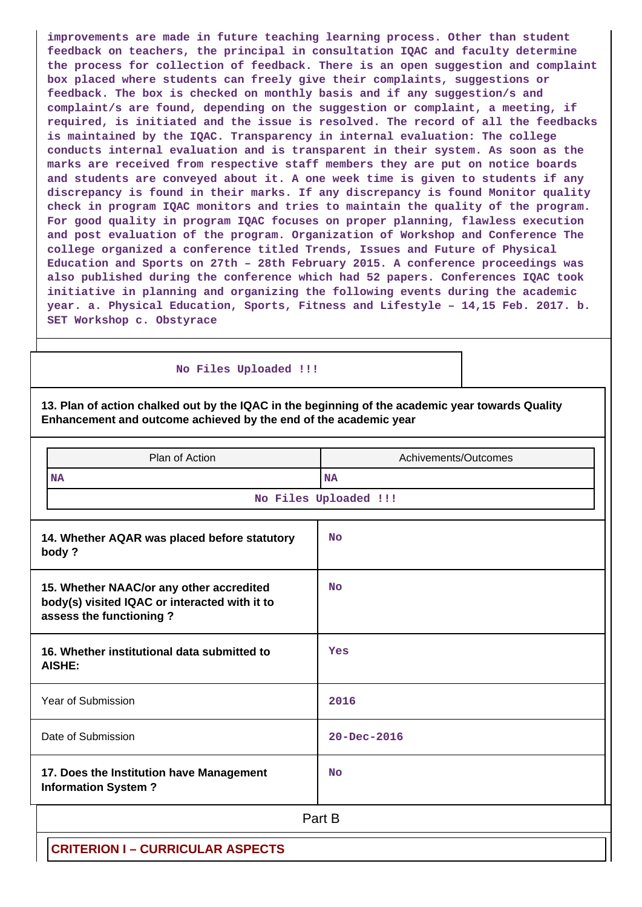**improvements are made in future teaching learning process. Other than student feedback on teachers, the principal in consultation IQAC and faculty determine the process for collection of feedback. There is an open suggestion and complaint box placed where students can freely give their complaints, suggestions or feedback. The box is checked on monthly basis and if any suggestion/s and complaint/s are found, depending on the suggestion or complaint, a meeting, if required, is initiated and the issue is resolved. The record of all the feedbacks is maintained by the IQAC. Transparency in internal evaluation: The college conducts internal evaluation and is transparent in their system. As soon as the marks are received from respective staff members they are put on notice boards and students are conveyed about it. A one week time is given to students if any discrepancy is found in their marks. If any discrepancy is found Monitor quality check in program IQAC monitors and tries to maintain the quality of the program. For good quality in program IQAC focuses on proper planning, flawless execution and post evaluation of the program. Organization of Workshop and Conference The college organized a conference titled Trends, Issues and Future of Physical Education and Sports on 27th – 28th February 2015. A conference proceedings was also published during the conference which had 52 papers. Conferences IQAC took initiative in planning and organizing the following events during the academic year. a. Physical Education, Sports, Fitness and Lifestyle – 14,15 Feb. 2017. b. SET Workshop c. Obstyrace**

 **No Files Uploaded !!!**

**13. Plan of action chalked out by the IQAC in the beginning of the academic year towards Quality Enhancement and outcome achieved by the end of the academic year**

| Plan of Action                                                                                                       | Achivements/Outcomes  |  |  |  |  |
|----------------------------------------------------------------------------------------------------------------------|-----------------------|--|--|--|--|
| <b>NA</b>                                                                                                            | <b>NA</b>             |  |  |  |  |
|                                                                                                                      | No Files Uploaded !!! |  |  |  |  |
| 14. Whether AQAR was placed before statutory<br>body?                                                                | <b>No</b>             |  |  |  |  |
| 15. Whether NAAC/or any other accredited<br>body(s) visited IQAC or interacted with it to<br>assess the functioning? | <b>No</b>             |  |  |  |  |
| 16. Whether institutional data submitted to<br>AISHE:                                                                | Yes                   |  |  |  |  |
| Year of Submission                                                                                                   | 2016                  |  |  |  |  |
| Date of Submission                                                                                                   | $20 - Dec - 2016$     |  |  |  |  |
| 17. Does the Institution have Management<br><b>Information System?</b>                                               | <b>No</b>             |  |  |  |  |
| Part B                                                                                                               |                       |  |  |  |  |
| <b>CRITERION I - CURRICULAR ASPECTS</b>                                                                              |                       |  |  |  |  |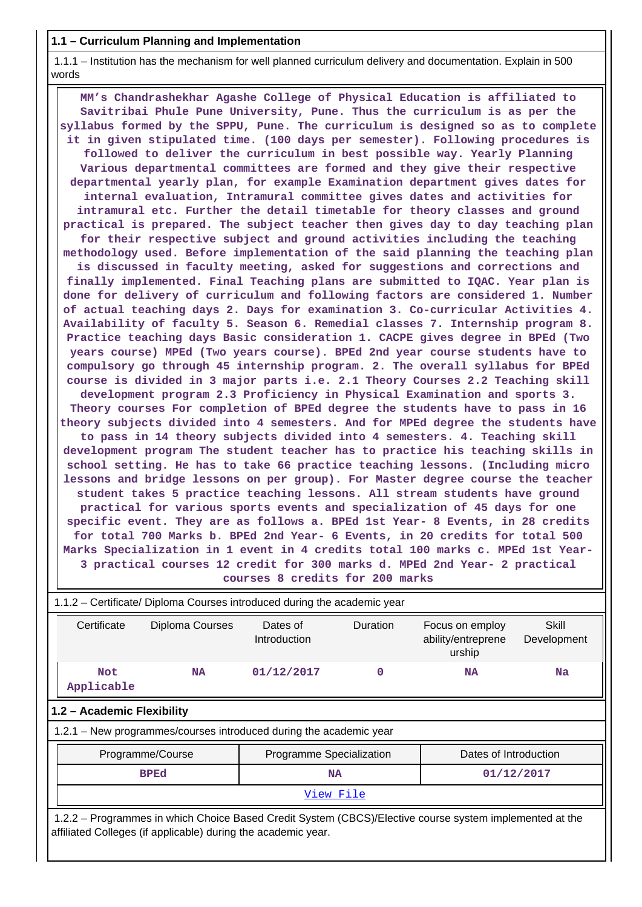**1.1 – Curriculum Planning and Implementation**

 1.1.1 – Institution has the mechanism for well planned curriculum delivery and documentation. Explain in 500 words

 **MM's Chandrashekhar Agashe College of Physical Education is affiliated to Savitribai Phule Pune University, Pune. Thus the curriculum is as per the syllabus formed by the SPPU, Pune. The curriculum is designed so as to complete it in given stipulated time. (100 days per semester). Following procedures is followed to deliver the curriculum in best possible way. Yearly Planning Various departmental committees are formed and they give their respective departmental yearly plan, for example Examination department gives dates for internal evaluation, Intramural committee gives dates and activities for intramural etc. Further the detail timetable for theory classes and ground practical is prepared. The subject teacher then gives day to day teaching plan for their respective subject and ground activities including the teaching methodology used. Before implementation of the said planning the teaching plan is discussed in faculty meeting, asked for suggestions and corrections and finally implemented. Final Teaching plans are submitted to IQAC. Year plan is done for delivery of curriculum and following factors are considered 1. Number of actual teaching days 2. Days for examination 3. Co-curricular Activities 4. Availability of faculty 5. Season 6. Remedial classes 7. Internship program 8. Practice teaching days Basic consideration 1. CACPE gives degree in BPEd (Two years course) MPEd (Two years course). BPEd 2nd year course students have to compulsory go through 45 internship program. 2. The overall syllabus for BPEd course is divided in 3 major parts i.e. 2.1 Theory Courses 2.2 Teaching skill development program 2.3 Proficiency in Physical Examination and sports 3. Theory courses For completion of BPEd degree the students have to pass in 16 theory subjects divided into 4 semesters. And for MPEd degree the students have to pass in 14 theory subjects divided into 4 semesters. 4. Teaching skill development program The student teacher has to practice his teaching skills in school setting. He has to take 66 practice teaching lessons. (Including micro lessons and bridge lessons on per group). For Master degree course the teacher student takes 5 practice teaching lessons. All stream students have ground practical for various sports events and specialization of 45 days for one specific event. They are as follows a. BPEd 1st Year- 8 Events, in 28 credits for total 700 Marks b. BPEd 2nd Year- 6 Events, in 20 credits for total 500 Marks Specialization in 1 event in 4 credits total 100 marks c. MPEd 1st Year-3 practical courses 12 credit for 300 marks d. MPEd 2nd Year- 2 practical courses 8 credits for 200 marks**

| 1.1.2 - Certificate/ Diploma Courses introduced during the academic year                                                                                                 |                                                                    |                                                                                                                 |  |                       |  |  |
|--------------------------------------------------------------------------------------------------------------------------------------------------------------------------|--------------------------------------------------------------------|-----------------------------------------------------------------------------------------------------------------|--|-----------------------|--|--|
| Certificate                                                                                                                                                              | Diploma Courses                                                    | Dates of<br>Duration<br>Skill<br>Focus on employ<br>ability/entreprene<br>Introduction<br>Development<br>urship |  |                       |  |  |
| 01/12/2017<br>0<br><b>Not</b><br><b>Na</b><br><b>NA</b><br><b>NA</b><br>Applicable                                                                                       |                                                                    |                                                                                                                 |  |                       |  |  |
| 1.2 - Academic Flexibility                                                                                                                                               |                                                                    |                                                                                                                 |  |                       |  |  |
|                                                                                                                                                                          | 1.2.1 – New programmes/courses introduced during the academic year |                                                                                                                 |  |                       |  |  |
|                                                                                                                                                                          | Programme/Course                                                   | Programme Specialization                                                                                        |  | Dates of Introduction |  |  |
|                                                                                                                                                                          | <b>BPEd</b><br>01/12/2017<br><b>NA</b>                             |                                                                                                                 |  |                       |  |  |
| View File                                                                                                                                                                |                                                                    |                                                                                                                 |  |                       |  |  |
| 1.2.2 – Programmes in which Choice Based Credit System (CBCS)/Elective course system implemented at the<br>affiliated Colleges (if applicable) during the academic year. |                                                                    |                                                                                                                 |  |                       |  |  |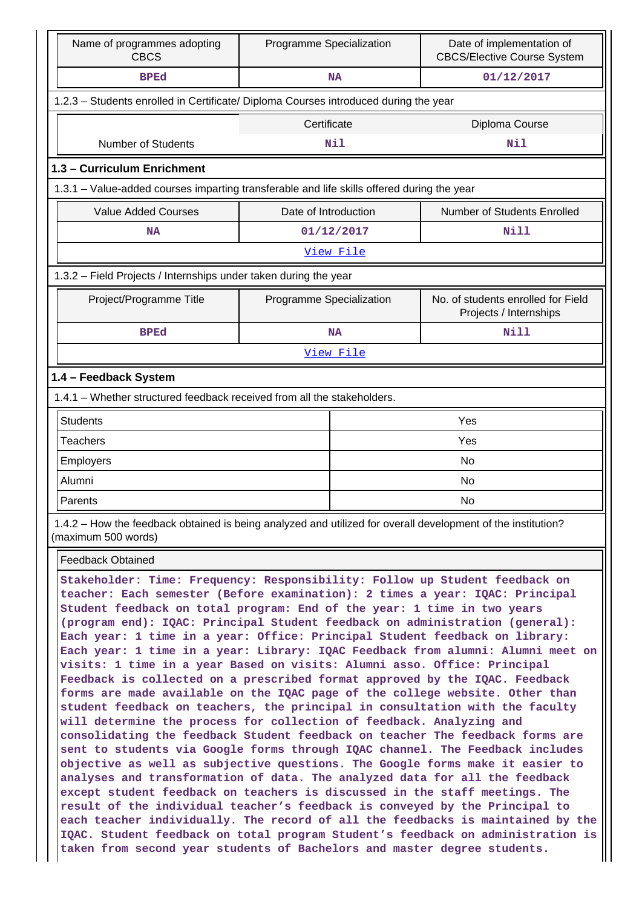| Name of programmes adopting<br><b>CBCS</b>                                                                                                                                                                                                                                                                                                                                                                                                                                                                                                                           | Programme Specialization |            | Date of implementation of<br><b>CBCS/Elective Course System</b> |  |  |  |
|----------------------------------------------------------------------------------------------------------------------------------------------------------------------------------------------------------------------------------------------------------------------------------------------------------------------------------------------------------------------------------------------------------------------------------------------------------------------------------------------------------------------------------------------------------------------|--------------------------|------------|-----------------------------------------------------------------|--|--|--|
| <b>BPEd</b>                                                                                                                                                                                                                                                                                                                                                                                                                                                                                                                                                          |                          | <b>NA</b>  | 01/12/2017                                                      |  |  |  |
| 1.2.3 - Students enrolled in Certificate/ Diploma Courses introduced during the year                                                                                                                                                                                                                                                                                                                                                                                                                                                                                 |                          |            |                                                                 |  |  |  |
|                                                                                                                                                                                                                                                                                                                                                                                                                                                                                                                                                                      | Certificate              |            | Diploma Course                                                  |  |  |  |
| <b>Number of Students</b>                                                                                                                                                                                                                                                                                                                                                                                                                                                                                                                                            |                          | Nil        | Nil                                                             |  |  |  |
| 1.3 - Curriculum Enrichment                                                                                                                                                                                                                                                                                                                                                                                                                                                                                                                                          |                          |            |                                                                 |  |  |  |
| 1.3.1 - Value-added courses imparting transferable and life skills offered during the year                                                                                                                                                                                                                                                                                                                                                                                                                                                                           |                          |            |                                                                 |  |  |  |
| <b>Value Added Courses</b>                                                                                                                                                                                                                                                                                                                                                                                                                                                                                                                                           | Date of Introduction     |            | Number of Students Enrolled                                     |  |  |  |
| <b>NA</b>                                                                                                                                                                                                                                                                                                                                                                                                                                                                                                                                                            |                          | 01/12/2017 | Nill                                                            |  |  |  |
| View File                                                                                                                                                                                                                                                                                                                                                                                                                                                                                                                                                            |                          |            |                                                                 |  |  |  |
| 1.3.2 - Field Projects / Internships under taken during the year                                                                                                                                                                                                                                                                                                                                                                                                                                                                                                     |                          |            |                                                                 |  |  |  |
| Project/Programme Title                                                                                                                                                                                                                                                                                                                                                                                                                                                                                                                                              | Programme Specialization |            | No. of students enrolled for Field<br>Projects / Internships    |  |  |  |
| <b>BPEd</b>                                                                                                                                                                                                                                                                                                                                                                                                                                                                                                                                                          |                          | <b>NA</b>  | Nill                                                            |  |  |  |
|                                                                                                                                                                                                                                                                                                                                                                                                                                                                                                                                                                      |                          | View File  |                                                                 |  |  |  |
| 1.4 - Feedback System                                                                                                                                                                                                                                                                                                                                                                                                                                                                                                                                                |                          |            |                                                                 |  |  |  |
| 1.4.1 - Whether structured feedback received from all the stakeholders.                                                                                                                                                                                                                                                                                                                                                                                                                                                                                              |                          |            |                                                                 |  |  |  |
| <b>Students</b>                                                                                                                                                                                                                                                                                                                                                                                                                                                                                                                                                      |                          |            | Yes                                                             |  |  |  |
| <b>Teachers</b>                                                                                                                                                                                                                                                                                                                                                                                                                                                                                                                                                      |                          |            | Yes                                                             |  |  |  |
| Employers                                                                                                                                                                                                                                                                                                                                                                                                                                                                                                                                                            |                          |            | No                                                              |  |  |  |
| Alumni                                                                                                                                                                                                                                                                                                                                                                                                                                                                                                                                                               |                          |            | No                                                              |  |  |  |
| Parents                                                                                                                                                                                                                                                                                                                                                                                                                                                                                                                                                              |                          |            | No                                                              |  |  |  |
| 1.4.2 – How the feedback obtained is being analyzed and utilized for overall development of the institution?<br>(maximum 500 words)                                                                                                                                                                                                                                                                                                                                                                                                                                  |                          |            |                                                                 |  |  |  |
| <b>Feedback Obtained</b>                                                                                                                                                                                                                                                                                                                                                                                                                                                                                                                                             |                          |            |                                                                 |  |  |  |
| Stakeholder: Time: Frequency: Responsibility: Follow up Student feedback on<br>teacher: Each semester (Before examination): 2 times a year: IQAC: Principal<br>Student feedback on total program: End of the year: 1 time in two years<br>(program end): IQAC: Principal Student feedback on administration (general):<br>Each year: 1 time in a year: Office: Principal Student feedback on library:<br>Each year: 1 time in a year: Library: IQAC Feedback from alumni: Alumni meet on<br>visits: 1 time in a year Based on visits: Alumni asso. Office: Principal |                          |            |                                                                 |  |  |  |

**Feedback is collected on a prescribed format approved by the IQAC. Feedback forms are made available on the IQAC page of the college website. Other than student feedback on teachers, the principal in consultation with the faculty will determine the process for collection of feedback. Analyzing and consolidating the feedback Student feedback on teacher The feedback forms are sent to students via Google forms through IQAC channel. The Feedback includes objective as well as subjective questions. The Google forms make it easier to analyses and transformation of data. The analyzed data for all the feedback except student feedback on teachers is discussed in the staff meetings. The result of the individual teacher's feedback is conveyed by the Principal to each teacher individually. The record of all the feedbacks is maintained by the IQAC. Student feedback on total program Student's feedback on administration is taken from second year students of Bachelors and master degree students.**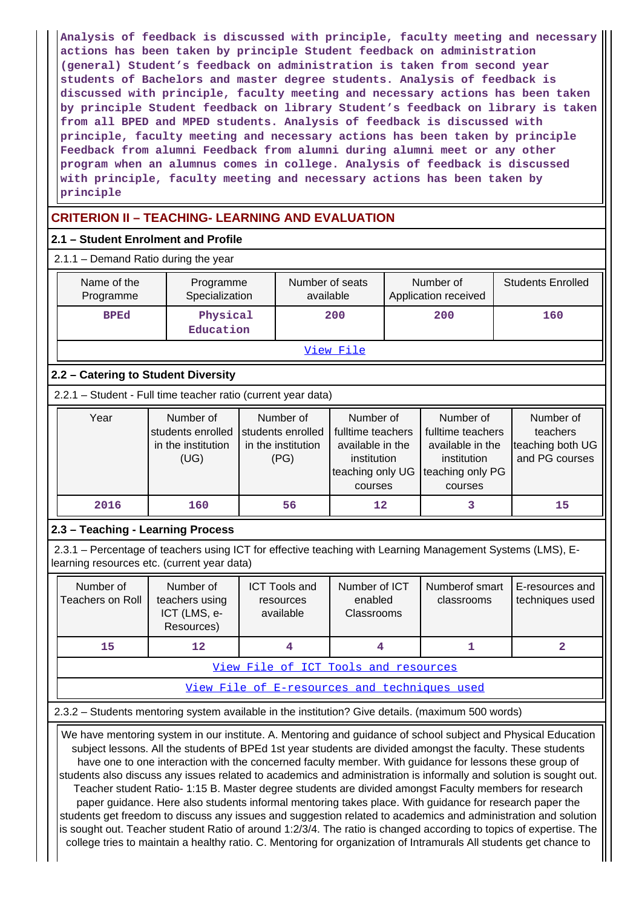**Analysis of feedback is discussed with principle, faculty meeting and necessary actions has been taken by principle Student feedback on administration (general) Student's feedback on administration is taken from second year students of Bachelors and master degree students. Analysis of feedback is discussed with principle, faculty meeting and necessary actions has been taken by principle Student feedback on library Student's feedback on library is taken from all BPED and MPED students. Analysis of feedback is discussed with principle, faculty meeting and necessary actions has been taken by principle Feedback from alumni Feedback from alumni during alumni meet or any other program when an alumnus comes in college. Analysis of feedback is discussed with principle, faculty meeting and necessary actions has been taken by principle**

### **CRITERION II – TEACHING- LEARNING AND EVALUATION**

#### **2.1 – Student Enrolment and Profile**

| 2.1.1 - Demand Ratio during the year                          |                                                                                                                              |                             |    |                                                                                                  |     |                                                                                                  |     |                                                             |
|---------------------------------------------------------------|------------------------------------------------------------------------------------------------------------------------------|-----------------------------|----|--------------------------------------------------------------------------------------------------|-----|--------------------------------------------------------------------------------------------------|-----|-------------------------------------------------------------|
| Name of the<br>Programme                                      |                                                                                                                              | Programme<br>Specialization |    | Number of seats<br>available                                                                     |     | Number of<br>Application received                                                                |     | <b>Students Enrolled</b>                                    |
| <b>BPEd</b>                                                   | Physical<br>Education                                                                                                        |                             |    | 200                                                                                              | 200 |                                                                                                  | 160 |                                                             |
|                                                               |                                                                                                                              |                             |    | <u>View File</u>                                                                                 |     |                                                                                                  |     |                                                             |
| 2.2 – Catering to Student Diversity                           |                                                                                                                              |                             |    |                                                                                                  |     |                                                                                                  |     |                                                             |
| 2.2.1 - Student - Full time teacher ratio (current year data) |                                                                                                                              |                             |    |                                                                                                  |     |                                                                                                  |     |                                                             |
| Year                                                          | Number of<br>Number of<br>students enrolled<br>students enrolled<br>in the institution<br>in the institution<br>(UG)<br>(PG) |                             |    | Number of<br>fulltime teachers<br>available in the<br>institution<br>teaching only UG<br>courses |     | Number of<br>fulltime teachers<br>available in the<br>institution<br>teaching only PG<br>courses |     | Number of<br>teachers<br>teaching both UG<br>and PG courses |
| 2016                                                          | 160                                                                                                                          |                             | 56 | 12                                                                                               |     | 3                                                                                                |     | 15                                                          |
| 2.3 – Teaching - Learning Process                             |                                                                                                                              |                             |    |                                                                                                  |     |                                                                                                  |     |                                                             |

 2.3.1 – Percentage of teachers using ICT for effective teaching with Learning Management Systems (LMS), Elearning resources etc. (current year data)

| Number of<br>Teachers on Roll | Number of<br>teachers using<br>ICT (LMS, e-<br>Resources) | <b>ICT Tools and</b><br>resources<br>available | Number of ICT<br>enabled<br><b>Classrooms</b> | Numberof smart<br>classrooms | E-resources and<br>techniques used |
|-------------------------------|-----------------------------------------------------------|------------------------------------------------|-----------------------------------------------|------------------------------|------------------------------------|
| 15                            | 12                                                        |                                                |                                               |                              |                                    |

[View File of ICT Tools and resources](https://assessmentonline.naac.gov.in/public/Postacc/ict_tools/4902_ict_tools_1584081907.xlsx)

[View File of E-resources and techniques used](https://assessmentonline.naac.gov.in/public/Postacc/e_resource/4902_e_resource_1584081915.xlsx)

2.3.2 – Students mentoring system available in the institution? Give details. (maximum 500 words)

 We have mentoring system in our institute. A. Mentoring and guidance of school subject and Physical Education subject lessons. All the students of BPEd 1st year students are divided amongst the faculty. These students have one to one interaction with the concerned faculty member. With guidance for lessons these group of students also discuss any issues related to academics and administration is informally and solution is sought out. Teacher student Ratio- 1:15 B. Master degree students are divided amongst Faculty members for research paper guidance. Here also students informal mentoring takes place. With guidance for research paper the students get freedom to discuss any issues and suggestion related to academics and administration and solution is sought out. Teacher student Ratio of around 1:2/3/4. The ratio is changed according to topics of expertise. The college tries to maintain a healthy ratio. C. Mentoring for organization of Intramurals All students get chance to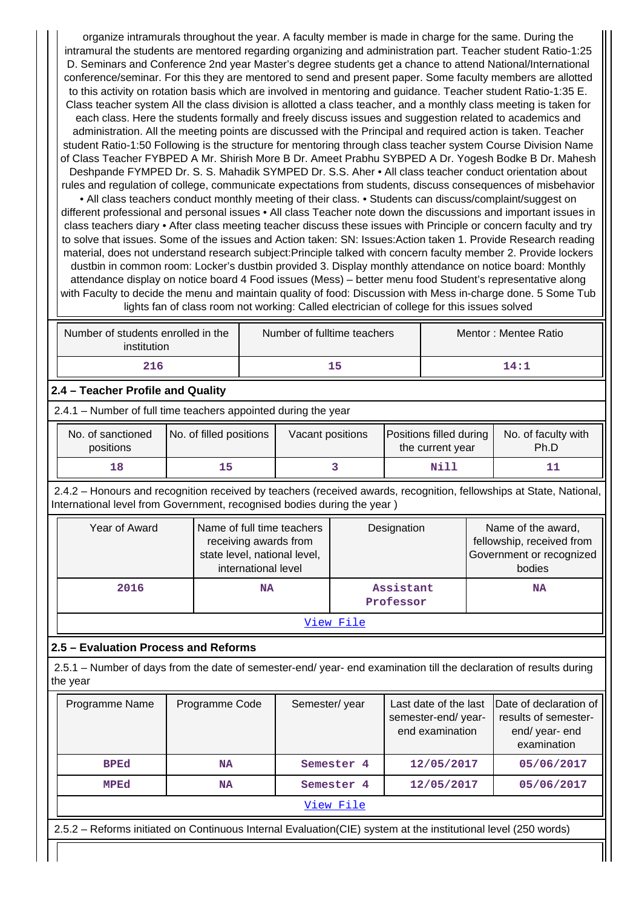organize intramurals throughout the year. A faculty member is made in charge for the same. During the intramural the students are mentored regarding organizing and administration part. Teacher student Ratio-1:25 D. Seminars and Conference 2nd year Master's degree students get a chance to attend National/International conference/seminar. For this they are mentored to send and present paper. Some faculty members are allotted to this activity on rotation basis which are involved in mentoring and guidance. Teacher student Ratio-1:35 E. Class teacher system All the class division is allotted a class teacher, and a monthly class meeting is taken for each class. Here the students formally and freely discuss issues and suggestion related to academics and administration. All the meeting points are discussed with the Principal and required action is taken. Teacher student Ratio-1:50 Following is the structure for mentoring through class teacher system Course Division Name of Class Teacher FYBPED A Mr. Shirish More B Dr. Ameet Prabhu SYBPED A Dr. Yogesh Bodke B Dr. Mahesh Deshpande FYMPED Dr. S. S. Mahadik SYMPED Dr. S.S. Aher • All class teacher conduct orientation about rules and regulation of college, communicate expectations from students, discuss consequences of misbehavior

• All class teachers conduct monthly meeting of their class. • Students can discuss/complaint/suggest on different professional and personal issues • All class Teacher note down the discussions and important issues in class teachers diary • After class meeting teacher discuss these issues with Principle or concern faculty and try to solve that issues. Some of the issues and Action taken: SN: Issues:Action taken 1. Provide Research reading material, does not understand research subject:Principle talked with concern faculty member 2. Provide lockers dustbin in common room: Locker's dustbin provided 3. Display monthly attendance on notice board: Monthly attendance display on notice board 4 Food issues (Mess) – better menu food Student's representative along with Faculty to decide the menu and maintain quality of food: Discussion with Mess in-charge done. 5 Some Tub lights fan of class room not working: Called electrician of college for this issues solved

| Number of students enrolled in the<br>institution | Number of fulltime teachers | Mentor: Mentee Ratio |
|---------------------------------------------------|-----------------------------|----------------------|
| 216                                               | 15                          | 14:1                 |

#### **2.4 – Teacher Profile and Quality**

2.4.1 – Number of full time teachers appointed during the year

| No. of sanctioned<br>positions | No. of filled positions | Vacant positions | Positions filled during<br>the current year | No. of faculty with<br>Ph.D |
|--------------------------------|-------------------------|------------------|---------------------------------------------|-----------------------------|
| 18                             |                         |                  | Nill                                        |                             |

 2.4.2 – Honours and recognition received by teachers (received awards, recognition, fellowships at State, National, International level from Government, recognised bodies during the year )

| Year of Award | Name of full time teachers<br>receiving awards from<br>state level, national level,<br>international level | Designation            | Name of the award,<br>fellowship, received from<br>Government or recognized<br>bodies |  |  |
|---------------|------------------------------------------------------------------------------------------------------------|------------------------|---------------------------------------------------------------------------------------|--|--|
| 2016          | <b>NA</b>                                                                                                  | Assistant<br>Professor | <b>NA</b>                                                                             |  |  |
| View File     |                                                                                                            |                        |                                                                                       |  |  |

#### **2.5 – Evaluation Process and Reforms**

 2.5.1 – Number of days from the date of semester-end/ year- end examination till the declaration of results during the year

| Programme Name                                                                                                 | Programme Code | Semester/year | Last date of the last<br>semester-end/year-<br>end examination | Date of declaration of<br>results of semester-<br>end/year-end<br>examination |  |  |  |  |
|----------------------------------------------------------------------------------------------------------------|----------------|---------------|----------------------------------------------------------------|-------------------------------------------------------------------------------|--|--|--|--|
| <b>BPEd</b>                                                                                                    | <b>NA</b>      | Semester 4    | 12/05/2017                                                     | 05/06/2017                                                                    |  |  |  |  |
| MPEd                                                                                                           | NA             | Semester 4    | 12/05/2017                                                     | 05/06/2017                                                                    |  |  |  |  |
| View File                                                                                                      |                |               |                                                                |                                                                               |  |  |  |  |
| 2.5.2 - Reforms initiated on Continuous Internal Evaluation(CIE) system at the institutional level (250 words) |                |               |                                                                |                                                                               |  |  |  |  |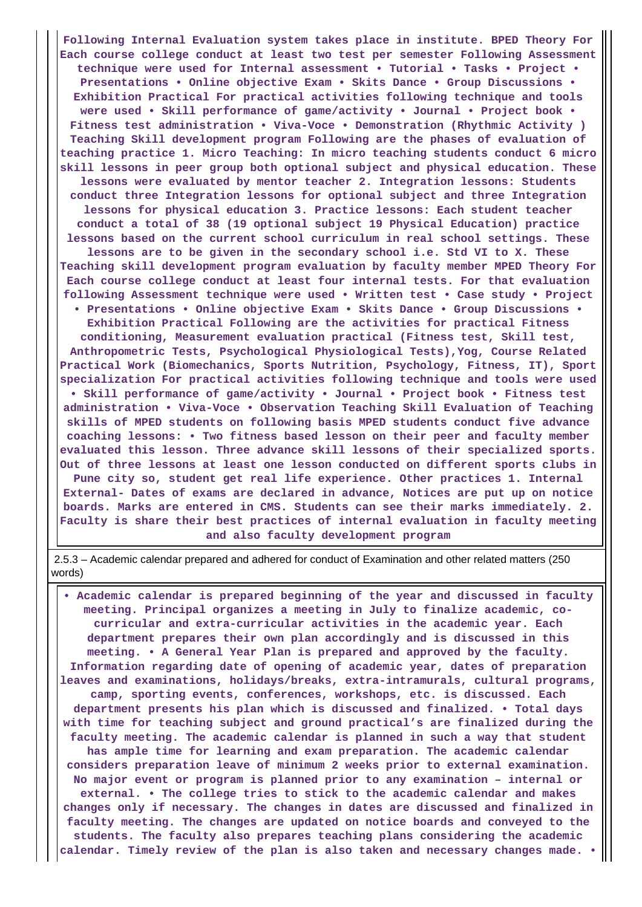**Following Internal Evaluation system takes place in institute. BPED Theory For Each course college conduct at least two test per semester Following Assessment technique were used for Internal assessment • Tutorial • Tasks • Project • Presentations • Online objective Exam • Skits Dance • Group Discussions • Exhibition Practical For practical activities following technique and tools were used • Skill performance of game/activity • Journal • Project book • Fitness test administration • Viva-Voce • Demonstration (Rhythmic Activity ) Teaching Skill development program Following are the phases of evaluation of teaching practice 1. Micro Teaching: In micro teaching students conduct 6 micro skill lessons in peer group both optional subject and physical education. These lessons were evaluated by mentor teacher 2. Integration lessons: Students conduct three Integration lessons for optional subject and three Integration lessons for physical education 3. Practice lessons: Each student teacher conduct a total of 38 (19 optional subject 19 Physical Education) practice lessons based on the current school curriculum in real school settings. These lessons are to be given in the secondary school i.e. Std VI to X. These Teaching skill development program evaluation by faculty member MPED Theory For Each course college conduct at least four internal tests. For that evaluation following Assessment technique were used • Written test • Case study • Project • Presentations • Online objective Exam • Skits Dance • Group Discussions • Exhibition Practical Following are the activities for practical Fitness conditioning, Measurement evaluation practical (Fitness test, Skill test, Anthropometric Tests, Psychological Physiological Tests),Yog, Course Related Practical Work (Biomechanics, Sports Nutrition, Psychology, Fitness, IT), Sport specialization For practical activities following technique and tools were used • Skill performance of game/activity • Journal • Project book • Fitness test administration • Viva-Voce • Observation Teaching Skill Evaluation of Teaching skills of MPED students on following basis MPED students conduct five advance coaching lessons: • Two fitness based lesson on their peer and faculty member evaluated this lesson. Three advance skill lessons of their specialized sports. Out of three lessons at least one lesson conducted on different sports clubs in Pune city so, student get real life experience. Other practices 1. Internal External- Dates of exams are declared in advance, Notices are put up on notice boards. Marks are entered in CMS. Students can see their marks immediately. 2. Faculty is share their best practices of internal evaluation in faculty meeting and also faculty development program**

 2.5.3 – Academic calendar prepared and adhered for conduct of Examination and other related matters (250 words)

 **• Academic calendar is prepared beginning of the year and discussed in faculty meeting. Principal organizes a meeting in July to finalize academic, cocurricular and extra-curricular activities in the academic year. Each department prepares their own plan accordingly and is discussed in this meeting. • A General Year Plan is prepared and approved by the faculty. Information regarding date of opening of academic year, dates of preparation leaves and examinations, holidays/breaks, extra-intramurals, cultural programs, camp, sporting events, conferences, workshops, etc. is discussed. Each department presents his plan which is discussed and finalized. • Total days with time for teaching subject and ground practical's are finalized during the faculty meeting. The academic calendar is planned in such a way that student has ample time for learning and exam preparation. The academic calendar considers preparation leave of minimum 2 weeks prior to external examination. No major event or program is planned prior to any examination – internal or external. • The college tries to stick to the academic calendar and makes changes only if necessary. The changes in dates are discussed and finalized in faculty meeting. The changes are updated on notice boards and conveyed to the students. The faculty also prepares teaching plans considering the academic calendar. Timely review of the plan is also taken and necessary changes made. •**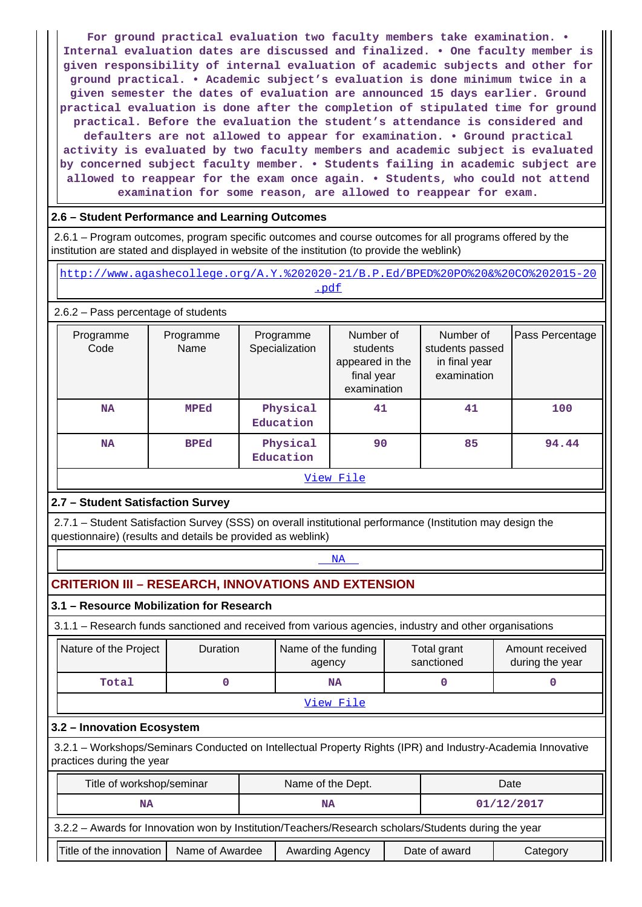**For ground practical evaluation two faculty members take examination. • Internal evaluation dates are discussed and finalized. • One faculty member is given responsibility of internal evaluation of academic subjects and other for ground practical. • Academic subject's evaluation is done minimum twice in a given semester the dates of evaluation are announced 15 days earlier. Ground practical evaluation is done after the completion of stipulated time for ground practical. Before the evaluation the student's attendance is considered and defaulters are not allowed to appear for examination. • Ground practical activity is evaluated by two faculty members and academic subject is evaluated by concerned subject faculty member. • Students failing in academic subject are allowed to reappear for the exam once again. • Students, who could not attend examination for some reason, are allowed to reappear for exam.**

#### **2.6 – Student Performance and Learning Outcomes**

 2.6.1 – Program outcomes, program specific outcomes and course outcomes for all programs offered by the institution are stated and displayed in website of the institution (to provide the weblink)

 [http://www.agashecollege.org/A.Y.%202020-21/B.P.Ed/BPED%20PO%20&%20CO%202015-20](http://www.agashecollege.org/A.Y.%202020-21/B.P.Ed/BPED%20PO%20&%20CO%202015-20.pdf) [.pdf](http://www.agashecollege.org/A.Y.%202020-21/B.P.Ed/BPED%20PO%20&%20CO%202015-20.pdf)

2.6.2 – Pass percentage of students

| Programme<br>Code        | Programme<br>Name | Programme<br>Specialization | Number of<br>students<br>appeared in the<br>final year<br>examination | Number of<br>students passed<br>in final year<br>examination | Pass Percentage |  |  |  |
|--------------------------|-------------------|-----------------------------|-----------------------------------------------------------------------|--------------------------------------------------------------|-----------------|--|--|--|
| <b>NA</b>                | <b>MPEd</b>       | Physical<br>Education       | 41                                                                    | 41                                                           | 100             |  |  |  |
| <b>BPEd</b><br><b>NA</b> |                   | Physical<br>Education       | 90                                                                    | 85                                                           | 94.44           |  |  |  |
| View File                |                   |                             |                                                                       |                                                              |                 |  |  |  |

#### **2.7 – Student Satisfaction Survey**

 2.7.1 – Student Satisfaction Survey (SSS) on overall institutional performance (Institution may design the questionnaire) (results and details be provided as weblink)

## <NA>NA PARTICIPADA E DE LA CARACTERA E DE LA CARACTERA E DE LA CARACTERA E DE LA CARACTERA E DE LA CARACTERA E D

# **CRITERION III – RESEARCH, INNOVATIONS AND EXTENSION**

#### **3.1 – Resource Mobilization for Research**

3.1.1 – Research funds sanctioned and received from various agencies, industry and other organisations

| Nature of the Project | <b>Duration</b> | Name of the funding<br>agency | Total grant<br>sanctioned | Amount received<br>during the year |  |  |  |
|-----------------------|-----------------|-------------------------------|---------------------------|------------------------------------|--|--|--|
| Total                 |                 | <b>NA</b>                     |                           |                                    |  |  |  |
| View File             |                 |                               |                           |                                    |  |  |  |

#### **3.2 – Innovation Ecosystem**

 3.2.1 – Workshops/Seminars Conducted on Intellectual Property Rights (IPR) and Industry-Academia Innovative practices during the year

| Title of workshop/seminar                                                                            |  |  | Name of the Dept. |  | Date          |            |  |  |  |
|------------------------------------------------------------------------------------------------------|--|--|-------------------|--|---------------|------------|--|--|--|
| <b>NA</b>                                                                                            |  |  | <b>NA</b>         |  |               | 01/12/2017 |  |  |  |
| 3.2.2 - Awards for Innovation won by Institution/Teachers/Research scholars/Students during the year |  |  |                   |  |               |            |  |  |  |
| Title of the innovation<br>Name of Awardee                                                           |  |  | Awarding Agency   |  | Date of award | Category   |  |  |  |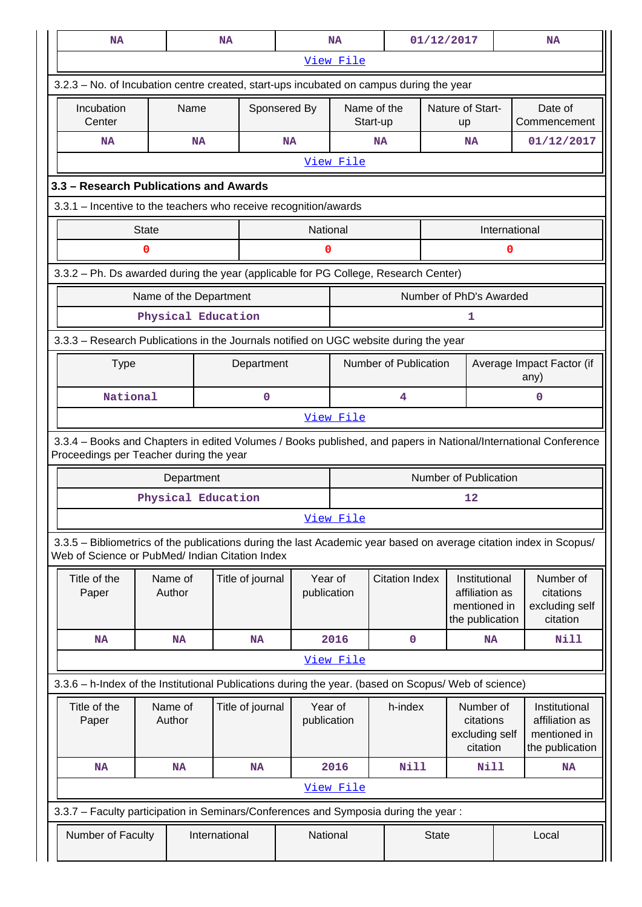| <b>NA</b>                                                                                                                                                             |                                                                                       |                   | <b>NA</b>              |                  |                        | <b>NA</b> |                                                      | 01/12/2017                   |                                                                    |               | <b>NA</b>                                            |
|-----------------------------------------------------------------------------------------------------------------------------------------------------------------------|---------------------------------------------------------------------------------------|-------------------|------------------------|------------------|------------------------|-----------|------------------------------------------------------|------------------------------|--------------------------------------------------------------------|---------------|------------------------------------------------------|
|                                                                                                                                                                       |                                                                                       |                   |                        |                  |                        | View File |                                                      |                              |                                                                    |               |                                                      |
| 3.2.3 – No. of Incubation centre created, start-ups incubated on campus during the year                                                                               |                                                                                       |                   |                        |                  |                        |           |                                                      |                              |                                                                    |               |                                                      |
| Incubation<br>Center                                                                                                                                                  |                                                                                       | Name              |                        |                  | Sponsered By           |           | Name of the<br>Start-up                              |                              | Nature of Start-<br>up                                             |               | Date of<br>Commencement                              |
| <b>NA</b>                                                                                                                                                             |                                                                                       |                   | <b>NA</b>              |                  | <b>NA</b>              |           | <b>NA</b>                                            |                              | <b>NA</b>                                                          |               | 01/12/2017                                           |
|                                                                                                                                                                       |                                                                                       |                   |                        |                  |                        | View File |                                                      |                              |                                                                    |               |                                                      |
| 3.3 - Research Publications and Awards                                                                                                                                |                                                                                       |                   |                        |                  |                        |           |                                                      |                              |                                                                    |               |                                                      |
| 3.3.1 - Incentive to the teachers who receive recognition/awards                                                                                                      |                                                                                       |                   |                        |                  |                        |           |                                                      |                              |                                                                    |               |                                                      |
|                                                                                                                                                                       | <b>State</b>                                                                          |                   |                        |                  | National               |           |                                                      |                              |                                                                    | International |                                                      |
|                                                                                                                                                                       | 0                                                                                     |                   |                        |                  | 0                      |           |                                                      |                              |                                                                    | 0             |                                                      |
| 3.3.2 - Ph. Ds awarded during the year (applicable for PG College, Research Center)                                                                                   |                                                                                       |                   |                        |                  |                        |           |                                                      |                              |                                                                    |               |                                                      |
|                                                                                                                                                                       |                                                                                       |                   | Name of the Department |                  |                        |           |                                                      | Number of PhD's Awarded      |                                                                    |               |                                                      |
|                                                                                                                                                                       |                                                                                       |                   | Physical Education     |                  |                        |           |                                                      |                              | 1                                                                  |               |                                                      |
|                                                                                                                                                                       | 3.3.3 - Research Publications in the Journals notified on UGC website during the year |                   |                        |                  |                        |           |                                                      |                              |                                                                    |               |                                                      |
| <b>Type</b><br>Department                                                                                                                                             |                                                                                       |                   |                        |                  |                        |           | Number of Publication                                |                              |                                                                    |               | Average Impact Factor (if<br>any)                    |
|                                                                                                                                                                       | National<br>0<br>4                                                                    |                   |                        |                  |                        |           | 0                                                    |                              |                                                                    |               |                                                      |
|                                                                                                                                                                       | View File                                                                             |                   |                        |                  |                        |           |                                                      |                              |                                                                    |               |                                                      |
| 3.3.4 - Books and Chapters in edited Volumes / Books published, and papers in National/International Conference<br>Proceedings per Teacher during the year            |                                                                                       |                   |                        |                  |                        |           |                                                      |                              |                                                                    |               |                                                      |
|                                                                                                                                                                       |                                                                                       | Department        |                        |                  |                        |           |                                                      | <b>Number of Publication</b> |                                                                    |               |                                                      |
|                                                                                                                                                                       |                                                                                       |                   | Physical Education     |                  |                        |           |                                                      |                              | 12                                                                 |               |                                                      |
|                                                                                                                                                                       |                                                                                       |                   |                        |                  |                        | View File |                                                      |                              |                                                                    |               |                                                      |
| 3.3.5 – Bibliometrics of the publications during the last Academic year based on average citation index in Scopus/<br>Web of Science or PubMed/ Indian Citation Index |                                                                                       |                   |                        |                  |                        |           |                                                      |                              |                                                                    |               |                                                      |
| Title of the<br>Paper                                                                                                                                                 |                                                                                       | Name of<br>Author |                        | Title of journal | Year of<br>publication |           | <b>Citation Index</b>                                |                              | Institutional<br>affiliation as<br>mentioned in<br>the publication |               | Number of<br>citations<br>excluding self<br>citation |
| <b>NA</b>                                                                                                                                                             |                                                                                       | <b>NA</b>         |                        | <b>NA</b>        |                        | 2016      |                                                      | $\mathbf 0$                  | <b>NA</b>                                                          |               | Nill                                                 |
|                                                                                                                                                                       |                                                                                       |                   |                        |                  |                        | View File |                                                      |                              |                                                                    |               |                                                      |
| 3.3.6 - h-Index of the Institutional Publications during the year. (based on Scopus/ Web of science)                                                                  |                                                                                       |                   |                        |                  |                        |           |                                                      |                              |                                                                    |               |                                                      |
| Title of the<br>Paper                                                                                                                                                 | Name of<br>Title of journal<br>Author                                                 |                   | Year of<br>publication |                  | h-index                |           | Number of<br>citations<br>excluding self<br>citation |                              | Institutional<br>affiliation as<br>mentioned in<br>the publication |               |                                                      |
| <b>NA</b>                                                                                                                                                             |                                                                                       | <b>NA</b>         |                        | <b>NA</b>        |                        | 2016      | Nill                                                 |                              | Nill                                                               |               | <b>NA</b>                                            |
|                                                                                                                                                                       |                                                                                       |                   |                        |                  |                        | View File |                                                      |                              |                                                                    |               |                                                      |
| 3.3.7 - Faculty participation in Seminars/Conferences and Symposia during the year:                                                                                   |                                                                                       |                   |                        |                  |                        |           |                                                      |                              |                                                                    |               |                                                      |
| Number of Faculty                                                                                                                                                     |                                                                                       |                   | International          |                  | National               |           |                                                      | <b>State</b>                 |                                                                    | Local         |                                                      |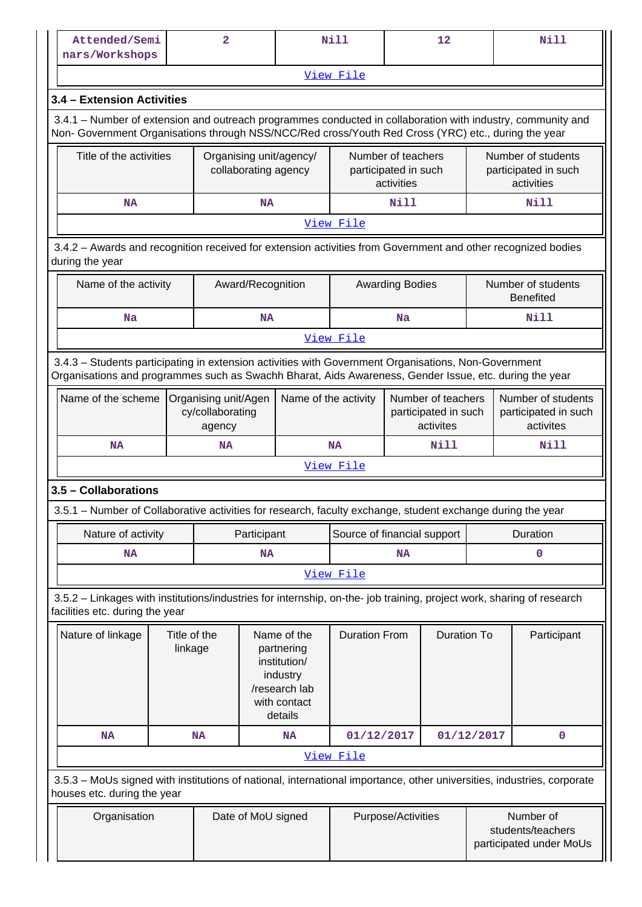| Attended/Semi<br>nars/Workshops                                                                                                                                                                                    |                         | $\overline{2}$ |                          |                                                                                                   | <b>Nill</b>                 |                                                          | 12       |                                                           | <b>Nill</b>                                             |                                        |
|--------------------------------------------------------------------------------------------------------------------------------------------------------------------------------------------------------------------|-------------------------|----------------|--------------------------|---------------------------------------------------------------------------------------------------|-----------------------------|----------------------------------------------------------|----------|-----------------------------------------------------------|---------------------------------------------------------|----------------------------------------|
|                                                                                                                                                                                                                    |                         |                |                          |                                                                                                   | View File                   |                                                          |          |                                                           |                                                         |                                        |
| 3.4 - Extension Activities                                                                                                                                                                                         |                         |                |                          |                                                                                                   |                             |                                                          |          |                                                           |                                                         |                                        |
| 3.4.1 – Number of extension and outreach programmes conducted in collaboration with industry, community and<br>Non- Government Organisations through NSS/NCC/Red cross/Youth Red Cross (YRC) etc., during the year |                         |                |                          |                                                                                                   |                             |                                                          |          |                                                           |                                                         |                                        |
| Title of the activities                                                                                                                                                                                            |                         |                | collaborating agency     | Organising unit/agency/                                                                           |                             | Number of teachers<br>participated in such<br>activities |          | Number of students<br>participated in such<br>activities  |                                                         |                                        |
| <b>NA</b>                                                                                                                                                                                                          |                         |                | <b>Nill</b><br><b>NA</b> |                                                                                                   |                             |                                                          |          |                                                           | <b>Nill</b>                                             |                                        |
|                                                                                                                                                                                                                    |                         |                |                          |                                                                                                   | View File                   |                                                          |          |                                                           |                                                         |                                        |
| 3.4.2 - Awards and recognition received for extension activities from Government and other recognized bodies<br>during the year                                                                                    |                         |                |                          |                                                                                                   |                             |                                                          |          |                                                           |                                                         |                                        |
| Name of the activity                                                                                                                                                                                               |                         |                | Award/Recognition        |                                                                                                   |                             | <b>Awarding Bodies</b>                                   |          |                                                           |                                                         | Number of students<br><b>Benefited</b> |
| <b>Na</b>                                                                                                                                                                                                          |                         |                | <b>NA</b>                |                                                                                                   |                             | Na                                                       |          |                                                           |                                                         | Nill                                   |
|                                                                                                                                                                                                                    |                         |                |                          |                                                                                                   | View File                   |                                                          |          |                                                           |                                                         |                                        |
| 3.4.3 - Students participating in extension activities with Government Organisations, Non-Government<br>Organisations and programmes such as Swachh Bharat, Aids Awareness, Gender Issue, etc. during the year     |                         |                |                          |                                                                                                   |                             |                                                          |          |                                                           |                                                         |                                        |
| Name of the scheme<br>Organising unit/Agen<br>cy/collaborating<br>agency                                                                                                                                           |                         |                |                          | Name of the activity                                                                              |                             | Number of teachers<br>participated in such<br>activites  |          |                                                           | Number of students<br>participated in such<br>activites |                                        |
| <b>NA</b>                                                                                                                                                                                                          |                         | <b>NA</b>      |                          |                                                                                                   | Nill<br><b>NA</b>           |                                                          |          |                                                           |                                                         | <b>Nill</b>                            |
|                                                                                                                                                                                                                    |                         |                |                          |                                                                                                   | View File                   |                                                          |          |                                                           |                                                         |                                        |
| 3.5 - Collaborations                                                                                                                                                                                               |                         |                |                          |                                                                                                   |                             |                                                          |          |                                                           |                                                         |                                        |
| 3.5.1 - Number of Collaborative activities for research, faculty exchange, student exchange during the year                                                                                                        |                         |                |                          |                                                                                                   |                             |                                                          |          |                                                           |                                                         |                                        |
| Nature of activity                                                                                                                                                                                                 |                         |                | Participant              |                                                                                                   | Source of financial support |                                                          | Duration |                                                           |                                                         |                                        |
| <b>NA</b>                                                                                                                                                                                                          |                         |                | <b>NA</b>                |                                                                                                   |                             | <b>NA</b>                                                |          |                                                           |                                                         | $\mathbf 0$                            |
|                                                                                                                                                                                                                    |                         |                |                          |                                                                                                   | View File                   |                                                          |          |                                                           |                                                         |                                        |
| 3.5.2 - Linkages with institutions/industries for internship, on-the- job training, project work, sharing of research<br>facilities etc. during the year                                                           |                         |                |                          |                                                                                                   |                             |                                                          |          |                                                           |                                                         |                                        |
| Nature of linkage                                                                                                                                                                                                  | Title of the<br>linkage |                |                          | Name of the<br>partnering<br>institution/<br>industry<br>/research lab<br>with contact<br>details |                             | <b>Duration From</b><br><b>Duration To</b>               |          |                                                           |                                                         | Participant                            |
| <b>NA</b>                                                                                                                                                                                                          |                         | <b>NA</b>      |                          | <b>NA</b>                                                                                         | 01/12/2017                  |                                                          |          | 01/12/2017                                                |                                                         | $\mathbf 0$                            |
|                                                                                                                                                                                                                    |                         |                |                          |                                                                                                   | View File                   |                                                          |          |                                                           |                                                         |                                        |
| 3.5.3 - MoUs signed with institutions of national, international importance, other universities, industries, corporate<br>houses etc. during the year                                                              |                         |                |                          |                                                                                                   |                             |                                                          |          |                                                           |                                                         |                                        |
| Organisation                                                                                                                                                                                                       |                         |                | Date of MoU signed       |                                                                                                   | Purpose/Activities          |                                                          |          | Number of<br>students/teachers<br>participated under MoUs |                                                         |                                        |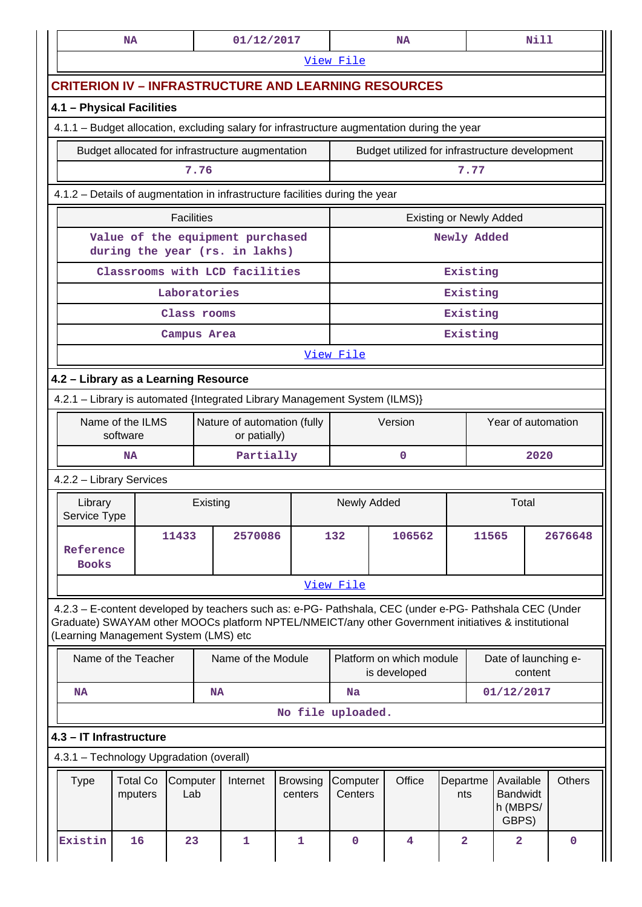|                                                                              | NA                                               |                 |          | 01/12/2017         |                            |                      | <b>NA</b>                                                                                                                                                                                                      |                                               |                    |                                                   | Nill |               |
|------------------------------------------------------------------------------|--------------------------------------------------|-----------------|----------|--------------------|----------------------------|----------------------|----------------------------------------------------------------------------------------------------------------------------------------------------------------------------------------------------------------|-----------------------------------------------|--------------------|---------------------------------------------------|------|---------------|
|                                                                              |                                                  |                 |          |                    |                            | View File            |                                                                                                                                                                                                                |                                               |                    |                                                   |      |               |
|                                                                              |                                                  |                 |          |                    |                            |                      | <b>CRITERION IV - INFRASTRUCTURE AND LEARNING RESOURCES</b>                                                                                                                                                    |                                               |                    |                                                   |      |               |
| 4.1 - Physical Facilities                                                    |                                                  |                 |          |                    |                            |                      |                                                                                                                                                                                                                |                                               |                    |                                                   |      |               |
|                                                                              |                                                  |                 |          |                    |                            |                      | 4.1.1 - Budget allocation, excluding salary for infrastructure augmentation during the year                                                                                                                    |                                               |                    |                                                   |      |               |
|                                                                              | Budget allocated for infrastructure augmentation |                 | 7.76     |                    |                            |                      | Budget utilized for infrastructure development                                                                                                                                                                 |                                               | 7.77               |                                                   |      |               |
|                                                                              |                                                  |                 |          |                    |                            |                      |                                                                                                                                                                                                                |                                               |                    |                                                   |      |               |
| 4.1.2 - Details of augmentation in infrastructure facilities during the year |                                                  |                 |          |                    |                            |                      |                                                                                                                                                                                                                |                                               |                    |                                                   |      |               |
| <b>Facilities</b><br>Value of the equipment purchased                        |                                                  |                 |          |                    |                            |                      |                                                                                                                                                                                                                | <b>Existing or Newly Added</b><br>Newly Added |                    |                                                   |      |               |
|                                                                              | during the year (rs. in lakhs)                   |                 |          |                    |                            |                      |                                                                                                                                                                                                                |                                               |                    |                                                   |      |               |
|                                                                              | Classrooms with LCD facilities                   | Laboratories    |          |                    |                            |                      |                                                                                                                                                                                                                | Existing<br>Existing                          |                    |                                                   |      |               |
|                                                                              |                                                  | Class rooms     |          |                    |                            |                      |                                                                                                                                                                                                                | Existing                                      |                    |                                                   |      |               |
|                                                                              |                                                  | Campus Area     |          |                    |                            |                      |                                                                                                                                                                                                                | Existing                                      |                    |                                                   |      |               |
|                                                                              |                                                  |                 |          |                    |                            | View File            |                                                                                                                                                                                                                |                                               |                    |                                                   |      |               |
| 4.2 - Library as a Learning Resource                                         |                                                  |                 |          |                    |                            |                      |                                                                                                                                                                                                                |                                               |                    |                                                   |      |               |
| 4.2.1 - Library is automated {Integrated Library Management System (ILMS)}   |                                                  |                 |          |                    |                            |                      |                                                                                                                                                                                                                |                                               |                    |                                                   |      |               |
| Name of the ILMS<br>Nature of automation (fully<br>software<br>or patially)  |                                                  |                 |          |                    |                            | Version              |                                                                                                                                                                                                                |                                               | Year of automation |                                                   |      |               |
|                                                                              | <b>NA</b>                                        |                 |          | Partially          |                            |                      | $\mathbf 0$                                                                                                                                                                                                    |                                               |                    |                                                   | 2020 |               |
| 4.2.2 - Library Services                                                     |                                                  |                 |          |                    |                            |                      |                                                                                                                                                                                                                |                                               |                    |                                                   |      |               |
| Library<br>Service Type                                                      |                                                  |                 | Existing |                    |                            | Total<br>Newly Added |                                                                                                                                                                                                                |                                               |                    |                                                   |      |               |
| Reference<br><b>Books</b>                                                    |                                                  | 11433           |          | 2570086            |                            | 132                  | 106562                                                                                                                                                                                                         |                                               | 11565              |                                                   |      | 2676648       |
|                                                                              |                                                  |                 |          |                    |                            | View File            |                                                                                                                                                                                                                |                                               |                    |                                                   |      |               |
| (Learning Management System (LMS) etc                                        |                                                  |                 |          |                    |                            |                      | 4.2.3 - E-content developed by teachers such as: e-PG- Pathshala, CEC (under e-PG- Pathshala CEC (Under<br>Graduate) SWAYAM other MOOCs platform NPTEL/NMEICT/any other Government initiatives & institutional |                                               |                    |                                                   |      |               |
|                                                                              | Name of the Teacher                              |                 |          | Name of the Module |                            |                      | Platform on which module<br>is developed                                                                                                                                                                       |                                               |                    | Date of launching e-<br>content                   |      |               |
| NA<br><b>NA</b>                                                              |                                                  |                 |          |                    | <b>Na</b>                  |                      |                                                                                                                                                                                                                |                                               | 01/12/2017         |                                                   |      |               |
|                                                                              |                                                  |                 |          |                    | No file uploaded.          |                      |                                                                                                                                                                                                                |                                               |                    |                                                   |      |               |
| 4.3 - IT Infrastructure                                                      |                                                  |                 |          |                    |                            |                      |                                                                                                                                                                                                                |                                               |                    |                                                   |      |               |
| 4.3.1 - Technology Upgradation (overall)                                     |                                                  |                 |          |                    |                            |                      |                                                                                                                                                                                                                |                                               |                    |                                                   |      |               |
| <b>Type</b>                                                                  | <b>Total Co</b><br>mputers                       | Computer<br>Lab |          | Internet           | <b>Browsing</b><br>centers | Computer<br>Centers  | Office                                                                                                                                                                                                         | Departme<br>nts                               |                    | Available<br><b>Bandwidt</b><br>h (MBPS/<br>GBPS) |      | <b>Others</b> |
| Existin                                                                      | 16                                               | 23              |          | $\mathbf{1}$       | 1                          | $\mathbf 0$          | 4                                                                                                                                                                                                              | $\overline{\mathbf{2}}$                       |                    | $\overline{a}$                                    |      | $\mathbf 0$   |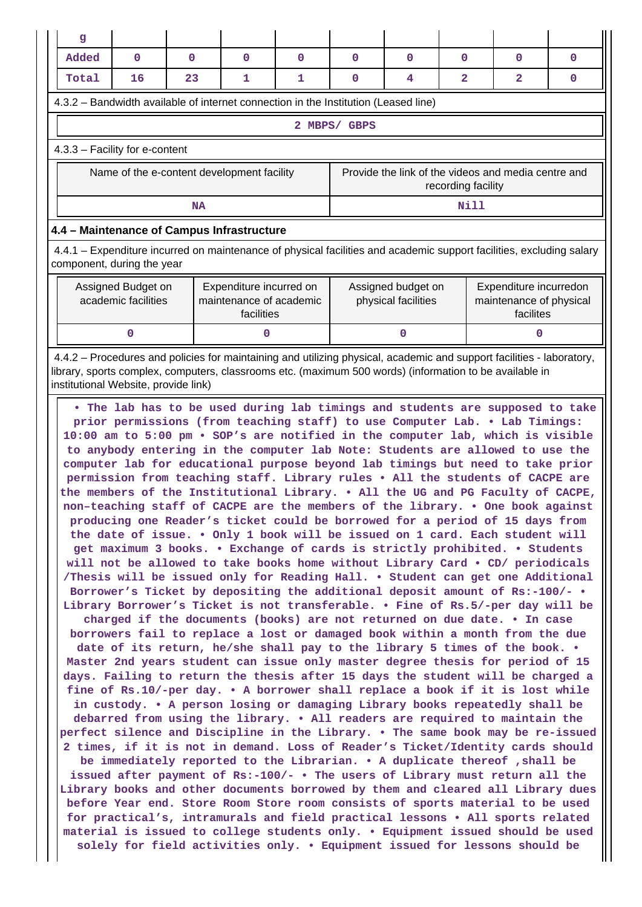| $\mathbf{g}$                                                                                                                                                                                                                                                                                                                                                                                                                                                                                                                                                                                                                                                                                                                                                                                                                                                                                                                                                                                                                                                                                                                                                                                                                                                                                                                                                                                                                                                                                                                                                                                                                                                                                                                                                                                                                                                                                                                                                                                                                                                                                                                                                                                                                                                                                                                                                                                                                                                                                                    |                                           |              |                                                                  |              |              |                                           |                    |                                                                |              |
|-----------------------------------------------------------------------------------------------------------------------------------------------------------------------------------------------------------------------------------------------------------------------------------------------------------------------------------------------------------------------------------------------------------------------------------------------------------------------------------------------------------------------------------------------------------------------------------------------------------------------------------------------------------------------------------------------------------------------------------------------------------------------------------------------------------------------------------------------------------------------------------------------------------------------------------------------------------------------------------------------------------------------------------------------------------------------------------------------------------------------------------------------------------------------------------------------------------------------------------------------------------------------------------------------------------------------------------------------------------------------------------------------------------------------------------------------------------------------------------------------------------------------------------------------------------------------------------------------------------------------------------------------------------------------------------------------------------------------------------------------------------------------------------------------------------------------------------------------------------------------------------------------------------------------------------------------------------------------------------------------------------------------------------------------------------------------------------------------------------------------------------------------------------------------------------------------------------------------------------------------------------------------------------------------------------------------------------------------------------------------------------------------------------------------------------------------------------------------------------------------------------------|-------------------------------------------|--------------|------------------------------------------------------------------|--------------|--------------|-------------------------------------------|--------------------|----------------------------------------------------------------|--------------|
| Added                                                                                                                                                                                                                                                                                                                                                                                                                                                                                                                                                                                                                                                                                                                                                                                                                                                                                                                                                                                                                                                                                                                                                                                                                                                                                                                                                                                                                                                                                                                                                                                                                                                                                                                                                                                                                                                                                                                                                                                                                                                                                                                                                                                                                                                                                                                                                                                                                                                                                                           | $\mathbf{0}$                              | $\mathbf{0}$ | $\mathbf{O}$                                                     | $\mathbf{0}$ | $\mathbf{0}$ | $\mathbf 0$                               | $\mathbf{0}$       | $\mathbf{0}$                                                   | $\mathbf{0}$ |
| Total                                                                                                                                                                                                                                                                                                                                                                                                                                                                                                                                                                                                                                                                                                                                                                                                                                                                                                                                                                                                                                                                                                                                                                                                                                                                                                                                                                                                                                                                                                                                                                                                                                                                                                                                                                                                                                                                                                                                                                                                                                                                                                                                                                                                                                                                                                                                                                                                                                                                                                           | 16                                        | 23           | 1                                                                | 1            | 0            | 4                                         | $\mathbf{2}$       | $\mathbf{z}$                                                   | $\mathbf{0}$ |
| 4.3.2 - Bandwidth available of internet connection in the Institution (Leased line)                                                                                                                                                                                                                                                                                                                                                                                                                                                                                                                                                                                                                                                                                                                                                                                                                                                                                                                                                                                                                                                                                                                                                                                                                                                                                                                                                                                                                                                                                                                                                                                                                                                                                                                                                                                                                                                                                                                                                                                                                                                                                                                                                                                                                                                                                                                                                                                                                             |                                           |              |                                                                  |              |              |                                           |                    |                                                                |              |
|                                                                                                                                                                                                                                                                                                                                                                                                                                                                                                                                                                                                                                                                                                                                                                                                                                                                                                                                                                                                                                                                                                                                                                                                                                                                                                                                                                                                                                                                                                                                                                                                                                                                                                                                                                                                                                                                                                                                                                                                                                                                                                                                                                                                                                                                                                                                                                                                                                                                                                                 |                                           |              |                                                                  |              | 2 MBPS/ GBPS |                                           |                    |                                                                |              |
| 4.3.3 - Facility for e-content                                                                                                                                                                                                                                                                                                                                                                                                                                                                                                                                                                                                                                                                                                                                                                                                                                                                                                                                                                                                                                                                                                                                                                                                                                                                                                                                                                                                                                                                                                                                                                                                                                                                                                                                                                                                                                                                                                                                                                                                                                                                                                                                                                                                                                                                                                                                                                                                                                                                                  |                                           |              |                                                                  |              |              |                                           |                    |                                                                |              |
|                                                                                                                                                                                                                                                                                                                                                                                                                                                                                                                                                                                                                                                                                                                                                                                                                                                                                                                                                                                                                                                                                                                                                                                                                                                                                                                                                                                                                                                                                                                                                                                                                                                                                                                                                                                                                                                                                                                                                                                                                                                                                                                                                                                                                                                                                                                                                                                                                                                                                                                 |                                           |              | Name of the e-content development facility                       |              |              |                                           | recording facility | Provide the link of the videos and media centre and            |              |
|                                                                                                                                                                                                                                                                                                                                                                                                                                                                                                                                                                                                                                                                                                                                                                                                                                                                                                                                                                                                                                                                                                                                                                                                                                                                                                                                                                                                                                                                                                                                                                                                                                                                                                                                                                                                                                                                                                                                                                                                                                                                                                                                                                                                                                                                                                                                                                                                                                                                                                                 |                                           | <b>NA</b>    |                                                                  |              |              |                                           | Nill               |                                                                |              |
| 4.4 - Maintenance of Campus Infrastructure                                                                                                                                                                                                                                                                                                                                                                                                                                                                                                                                                                                                                                                                                                                                                                                                                                                                                                                                                                                                                                                                                                                                                                                                                                                                                                                                                                                                                                                                                                                                                                                                                                                                                                                                                                                                                                                                                                                                                                                                                                                                                                                                                                                                                                                                                                                                                                                                                                                                      |                                           |              |                                                                  |              |              |                                           |                    |                                                                |              |
| 4.4.1 – Expenditure incurred on maintenance of physical facilities and academic support facilities, excluding salary<br>component, during the year                                                                                                                                                                                                                                                                                                                                                                                                                                                                                                                                                                                                                                                                                                                                                                                                                                                                                                                                                                                                                                                                                                                                                                                                                                                                                                                                                                                                                                                                                                                                                                                                                                                                                                                                                                                                                                                                                                                                                                                                                                                                                                                                                                                                                                                                                                                                                              |                                           |              |                                                                  |              |              |                                           |                    |                                                                |              |
|                                                                                                                                                                                                                                                                                                                                                                                                                                                                                                                                                                                                                                                                                                                                                                                                                                                                                                                                                                                                                                                                                                                                                                                                                                                                                                                                                                                                                                                                                                                                                                                                                                                                                                                                                                                                                                                                                                                                                                                                                                                                                                                                                                                                                                                                                                                                                                                                                                                                                                                 | Assigned Budget on<br>academic facilities |              | Expenditure incurred on<br>maintenance of academic<br>facilities |              |              | Assigned budget on<br>physical facilities |                    | Expenditure incurredon<br>maintenance of physical<br>facilites |              |
|                                                                                                                                                                                                                                                                                                                                                                                                                                                                                                                                                                                                                                                                                                                                                                                                                                                                                                                                                                                                                                                                                                                                                                                                                                                                                                                                                                                                                                                                                                                                                                                                                                                                                                                                                                                                                                                                                                                                                                                                                                                                                                                                                                                                                                                                                                                                                                                                                                                                                                                 | 0                                         |              | 0                                                                |              |              | $\mathbf{0}$                              |                    | 0                                                              |              |
| 4.4.2 – Procedures and policies for maintaining and utilizing physical, academic and support facilities - laboratory,<br>library, sports complex, computers, classrooms etc. (maximum 500 words) (information to be available in<br>institutional Website, provide link)                                                                                                                                                                                                                                                                                                                                                                                                                                                                                                                                                                                                                                                                                                                                                                                                                                                                                                                                                                                                                                                                                                                                                                                                                                                                                                                                                                                                                                                                                                                                                                                                                                                                                                                                                                                                                                                                                                                                                                                                                                                                                                                                                                                                                                        |                                           |              |                                                                  |              |              |                                           |                    |                                                                |              |
| . The lab has to be used during lab timings and students are supposed to take<br>prior permissions (from teaching staff) to use Computer Lab. . Lab Timings:<br>10:00 am to 5:00 pm . SOP's are notified in the computer lab, which is visible<br>to anybody entering in the computer lab Note: Students are allowed to use the<br>computer lab for educational purpose beyond lab timings but need to take prior<br>permission from teaching staff. Library rules . All the students of CACPE are<br>the members of the Institutional Library. . All the UG and PG Faculty of CACPE,<br>non-teaching staff of CACPE are the members of the library. . One book against<br>producing one Reader's ticket could be borrowed for a period of 15 days from<br>the date of issue. • Only 1 book will be issued on 1 card. Each student will<br>get maximum 3 books. . Exchange of cards is strictly prohibited. . Students<br>will not be allowed to take books home without Library Card . CD/ periodicals<br>/Thesis will be issued only for Reading Hall. . Student can get one Additional<br>Borrower's Ticket by depositing the additional deposit amount of Rs:-100/- .<br>Library Borrower's Ticket is not transferable. . Fine of Rs.5/-per day will be<br>charged if the documents (books) are not returned on due date. . In case<br>borrowers fail to replace a lost or damaged book within a month from the due<br>date of its return, he/she shall pay to the library 5 times of the book. •<br>Master 2nd years student can issue only master degree thesis for period of 15<br>days. Failing to return the thesis after 15 days the student will be charged a<br>fine of Rs.10/-per day. • A borrower shall replace a book if it is lost while<br>in custody. • A person losing or damaging Library books repeatedly shall be<br>debarred from using the library. • All readers are required to maintain the<br>perfect silence and Discipline in the Library. . The same book may be re-issued<br>2 times, if it is not in demand. Loss of Reader's Ticket/Identity cards should<br>be immediately reported to the Librarian. • A duplicate thereof , shall be<br>issued after payment of Rs:-100/- . The users of Library must return all the<br>Library books and other documents borrowed by them and cleared all Library dues<br>before Year end. Store Room Store room consists of sports material to be used<br>for practical's, intramurals and field practical lessons . All sports related |                                           |              |                                                                  |              |              |                                           |                    |                                                                |              |

**material is issued to college students only. • Equipment issued should be used solely for field activities only. • Equipment issued for lessons should be**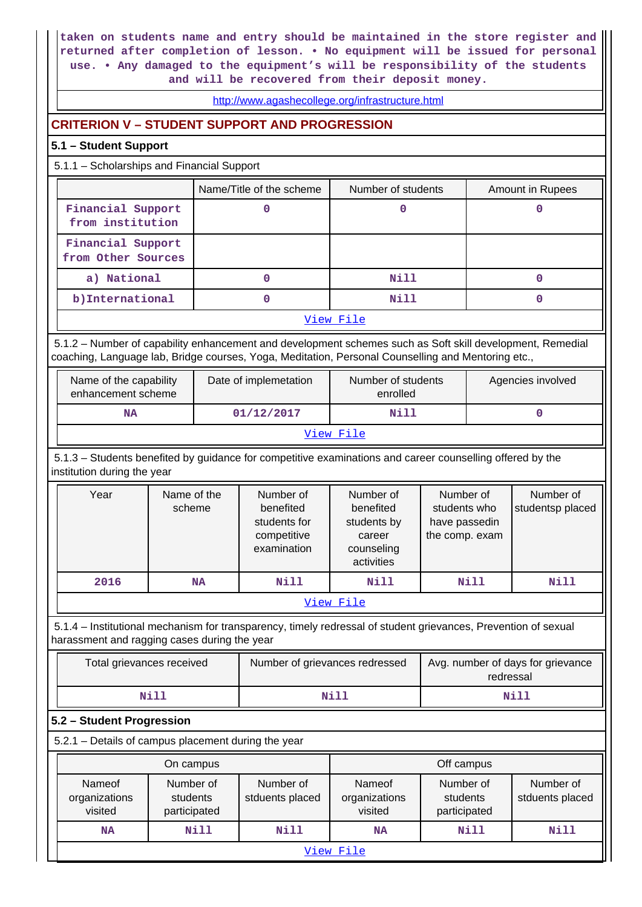**taken on students name and entry should be maintained in the store register and returned after completion of lesson. • No equipment will be issued for personal use. • Any damaged to the equipment's will be responsibility of the students and will be recovered from their deposit money.**

<http://www.agashecollege.org/infrastructure.html>

### **CRITERION V – STUDENT SUPPORT AND PROGRESSION**

#### **5.1 – Student Support**

5.1.1 – Scholarships and Financial Support

|                                         | Name/Title of the scheme | Number of students | Amount in Rupees |  |  |  |  |
|-----------------------------------------|--------------------------|--------------------|------------------|--|--|--|--|
| Financial Support<br>from institution   |                          |                    |                  |  |  |  |  |
| Financial Support<br>from Other Sources |                          |                    |                  |  |  |  |  |
| a) National                             |                          | Nill               |                  |  |  |  |  |
| b) International                        |                          | <b>Nill</b>        |                  |  |  |  |  |
| View File                               |                          |                    |                  |  |  |  |  |

 5.1.2 – Number of capability enhancement and development schemes such as Soft skill development, Remedial coaching, Language lab, Bridge courses, Yoga, Meditation, Personal Counselling and Mentoring etc.,

| Name of the capability<br>enhancement scheme | Date of implemetation | Number of students<br>enrolled | Agencies involved |  |  |  |
|----------------------------------------------|-----------------------|--------------------------------|-------------------|--|--|--|
| NA                                           | 01/12/2017            | Nill                           |                   |  |  |  |
| View File                                    |                       |                                |                   |  |  |  |

 5.1.3 – Students benefited by guidance for competitive examinations and career counselling offered by the institution during the year

| Year      | Name of the<br>scheme | Number of<br>benefited<br>students for<br>competitive<br>examination | Number of<br>benefited<br>students by<br>career<br>counseling<br>activities | Number of<br>students who<br>have passedin<br>the comp. exam | Number of<br>studentsp placed |  |  |  |  |
|-----------|-----------------------|----------------------------------------------------------------------|-----------------------------------------------------------------------------|--------------------------------------------------------------|-------------------------------|--|--|--|--|
| 2016      | <b>NA</b>             | Nill                                                                 | Nill                                                                        | Nill                                                         | Nill                          |  |  |  |  |
| View File |                       |                                                                      |                                                                             |                                                              |                               |  |  |  |  |

 5.1.4 – Institutional mechanism for transparency, timely redressal of student grievances, Prevention of sexual harassment and ragging cases during the year

| Total grievances received | Number of grievances redressed | Avg. number of days for grievance<br>redressal |
|---------------------------|--------------------------------|------------------------------------------------|
| Nill                      | Nill                           | Nill                                           |

#### **5.2 – Student Progression**

5.2.1 – Details of campus placement during the year

|                                                                             | On campus |                              | Off campus                         |      |                              |  |  |  |
|-----------------------------------------------------------------------------|-----------|------------------------------|------------------------------------|------|------------------------------|--|--|--|
| Number of<br>Nameof<br>organizations<br>students<br>visited<br>participated |           | Number of<br>stduents placed | Nameof<br>organizations<br>visited |      | Number of<br>stduents placed |  |  |  |
| <b>NA</b>                                                                   | Nill      | Nill                         | <b>NA</b>                          | Nill | Nill                         |  |  |  |
| View File                                                                   |           |                              |                                    |      |                              |  |  |  |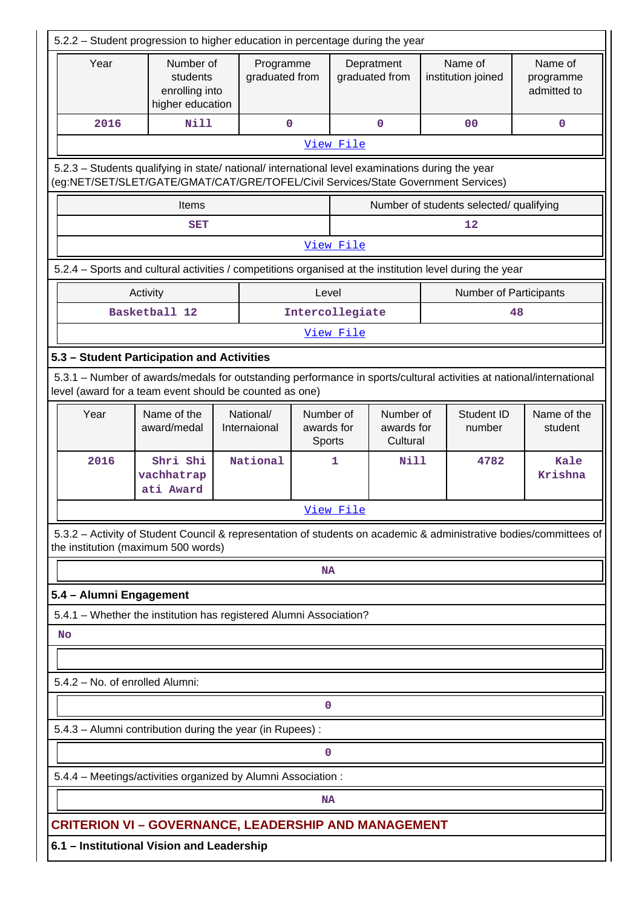| 5.2.2 – Student progression to higher education in percentage during the year                                                                                                          |                                     |                                                             |                           |                                   |                 |                                     |  |                               |                                                                                                                     |
|----------------------------------------------------------------------------------------------------------------------------------------------------------------------------------------|-------------------------------------|-------------------------------------------------------------|---------------------------|-----------------------------------|-----------------|-------------------------------------|--|-------------------------------|---------------------------------------------------------------------------------------------------------------------|
| Year                                                                                                                                                                                   |                                     | Number of<br>students<br>enrolling into<br>higher education |                           | Programme<br>graduated from       |                 | Depratment<br>graduated from        |  | Name of<br>institution joined | Name of<br>programme<br>admitted to                                                                                 |
| 2016                                                                                                                                                                                   | <b>Nill</b>                         |                                                             | $\mathbf 0$               |                                   |                 | $\mathbf 0$                         |  | 0 <sub>0</sub>                | $\mathbf 0$                                                                                                         |
|                                                                                                                                                                                        |                                     |                                                             |                           |                                   | View File       |                                     |  |                               |                                                                                                                     |
| 5.2.3 - Students qualifying in state/ national/ international level examinations during the year<br>(eg:NET/SET/SLET/GATE/GMAT/CAT/GRE/TOFEL/Civil Services/State Government Services) |                                     |                                                             |                           |                                   |                 |                                     |  |                               |                                                                                                                     |
| Number of students selected/ qualifying<br>Items                                                                                                                                       |                                     |                                                             |                           |                                   |                 |                                     |  |                               |                                                                                                                     |
| 12<br><b>SET</b>                                                                                                                                                                       |                                     |                                                             |                           |                                   |                 |                                     |  |                               |                                                                                                                     |
|                                                                                                                                                                                        |                                     |                                                             |                           |                                   | View File       |                                     |  |                               |                                                                                                                     |
| 5.2.4 - Sports and cultural activities / competitions organised at the institution level during the year                                                                               |                                     |                                                             |                           |                                   |                 |                                     |  |                               |                                                                                                                     |
|                                                                                                                                                                                        | Activity                            |                                                             |                           | Level                             |                 |                                     |  | <b>Number of Participants</b> |                                                                                                                     |
|                                                                                                                                                                                        | Basketball 12                       |                                                             |                           |                                   | Intercollegiate |                                     |  |                               | 48                                                                                                                  |
|                                                                                                                                                                                        |                                     |                                                             |                           |                                   | View File       |                                     |  |                               |                                                                                                                     |
| 5.3 - Student Participation and Activities                                                                                                                                             |                                     |                                                             |                           |                                   |                 |                                     |  |                               |                                                                                                                     |
| level (award for a team event should be counted as one)                                                                                                                                |                                     |                                                             |                           |                                   |                 |                                     |  |                               | 5.3.1 - Number of awards/medals for outstanding performance in sports/cultural activities at national/international |
| Year                                                                                                                                                                                   | Name of the<br>award/medal          |                                                             | National/<br>Internaional | Number of<br>awards for<br>Sports |                 | Number of<br>awards for<br>Cultural |  | Student ID<br>number          | Name of the<br>student                                                                                              |
| 2016                                                                                                                                                                                   | Shri Shi<br>vachhatrap<br>ati Award |                                                             | National                  |                                   | 1               | <b>Nill</b>                         |  | 4782                          | Kale<br>Krishna                                                                                                     |
|                                                                                                                                                                                        |                                     |                                                             |                           |                                   | View File       |                                     |  |                               |                                                                                                                     |
| the institution (maximum 500 words)                                                                                                                                                    |                                     |                                                             |                           |                                   |                 |                                     |  |                               | 5.3.2 - Activity of Student Council & representation of students on academic & administrative bodies/committees of  |
|                                                                                                                                                                                        |                                     |                                                             |                           | <b>NA</b>                         |                 |                                     |  |                               |                                                                                                                     |
| 5.4 - Alumni Engagement                                                                                                                                                                |                                     |                                                             |                           |                                   |                 |                                     |  |                               |                                                                                                                     |
| 5.4.1 - Whether the institution has registered Alumni Association?                                                                                                                     |                                     |                                                             |                           |                                   |                 |                                     |  |                               |                                                                                                                     |
| <b>No</b>                                                                                                                                                                              |                                     |                                                             |                           |                                   |                 |                                     |  |                               |                                                                                                                     |
| 5.4.2 - No. of enrolled Alumni:                                                                                                                                                        |                                     |                                                             |                           |                                   |                 |                                     |  |                               |                                                                                                                     |
|                                                                                                                                                                                        |                                     |                                                             |                           |                                   |                 |                                     |  |                               |                                                                                                                     |
|                                                                                                                                                                                        |                                     |                                                             |                           | 0                                 |                 |                                     |  |                               |                                                                                                                     |
| 5.4.3 - Alumni contribution during the year (in Rupees):                                                                                                                               |                                     |                                                             |                           |                                   |                 |                                     |  |                               |                                                                                                                     |
|                                                                                                                                                                                        |                                     |                                                             |                           | 0                                 |                 |                                     |  |                               |                                                                                                                     |
| 5.4.4 - Meetings/activities organized by Alumni Association :                                                                                                                          |                                     |                                                             |                           |                                   |                 |                                     |  |                               |                                                                                                                     |
|                                                                                                                                                                                        |                                     |                                                             |                           | <b>NA</b>                         |                 |                                     |  |                               |                                                                                                                     |
| <b>CRITERION VI – GOVERNANCE, LEADERSHIP AND MANAGEMENT</b>                                                                                                                            |                                     |                                                             |                           |                                   |                 |                                     |  |                               |                                                                                                                     |
| 6.1 - Institutional Vision and Leadership                                                                                                                                              |                                     |                                                             |                           |                                   |                 |                                     |  |                               |                                                                                                                     |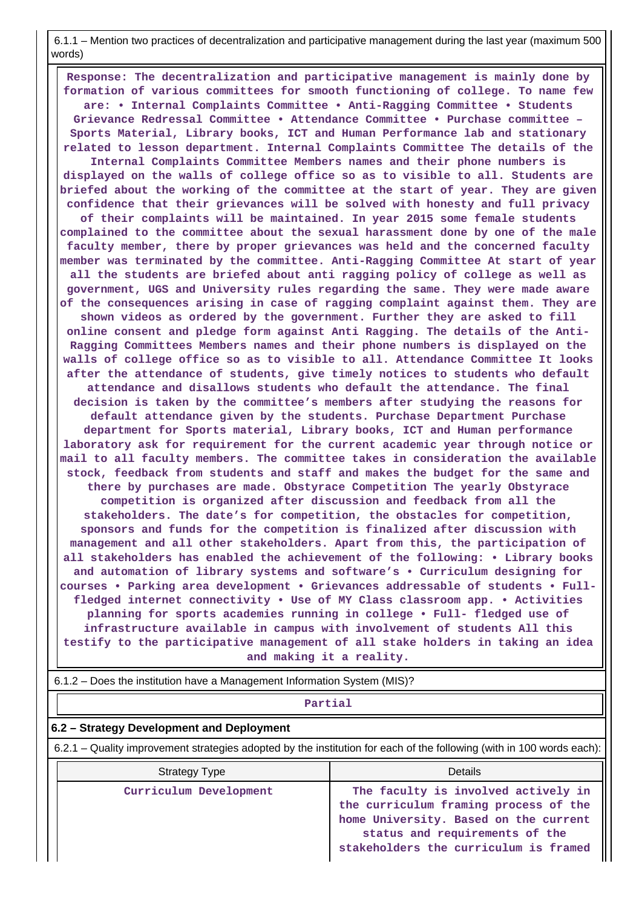6.1.1 – Mention two practices of decentralization and participative management during the last year (maximum 500 words)

 **Response: The decentralization and participative management is mainly done by formation of various committees for smooth functioning of college. To name few are: • Internal Complaints Committee • Anti-Ragging Committee • Students Grievance Redressal Committee • Attendance Committee • Purchase committee – Sports Material, Library books, ICT and Human Performance lab and stationary related to lesson department. Internal Complaints Committee The details of the Internal Complaints Committee Members names and their phone numbers is displayed on the walls of college office so as to visible to all. Students are briefed about the working of the committee at the start of year. They are given confidence that their grievances will be solved with honesty and full privacy of their complaints will be maintained. In year 2015 some female students complained to the committee about the sexual harassment done by one of the male faculty member, there by proper grievances was held and the concerned faculty member was terminated by the committee. Anti-Ragging Committee At start of year all the students are briefed about anti ragging policy of college as well as government, UGS and University rules regarding the same. They were made aware of the consequences arising in case of ragging complaint against them. They are shown videos as ordered by the government. Further they are asked to fill online consent and pledge form against Anti Ragging. The details of the Anti-Ragging Committees Members names and their phone numbers is displayed on the walls of college office so as to visible to all. Attendance Committee It looks after the attendance of students, give timely notices to students who default attendance and disallows students who default the attendance. The final decision is taken by the committee's members after studying the reasons for default attendance given by the students. Purchase Department Purchase department for Sports material, Library books, ICT and Human performance laboratory ask for requirement for the current academic year through notice or mail to all faculty members. The committee takes in consideration the available stock, feedback from students and staff and makes the budget for the same and there by purchases are made. Obstyrace Competition The yearly Obstyrace competition is organized after discussion and feedback from all the stakeholders. The date's for competition, the obstacles for competition, sponsors and funds for the competition is finalized after discussion with management and all other stakeholders. Apart from this, the participation of all stakeholders has enabled the achievement of the following: • Library books and automation of library systems and software's • Curriculum designing for courses • Parking area development • Grievances addressable of students • Fullfledged internet connectivity • Use of MY Class classroom app. • Activities planning for sports academies running in college • Full- fledged use of infrastructure available in campus with involvement of students All this testify to the participative management of all stake holders in taking an idea and making it a reality.**

6.1.2 – Does the institution have a Management Information System (MIS)?

#### **Partial**

#### **6.2 – Strategy Development and Deployment**

6.2.1 – Quality improvement strategies adopted by the institution for each of the following (with in 100 words each):

| <b>Strategy Type</b>   | Details                                                                                                                                                                                                |
|------------------------|--------------------------------------------------------------------------------------------------------------------------------------------------------------------------------------------------------|
| Curriculum Development | The faculty is involved actively in   <br>the curriculum framing process of the   <br>home University. Based on the current<br>status and requirements of the<br>stakeholders the curriculum is framed |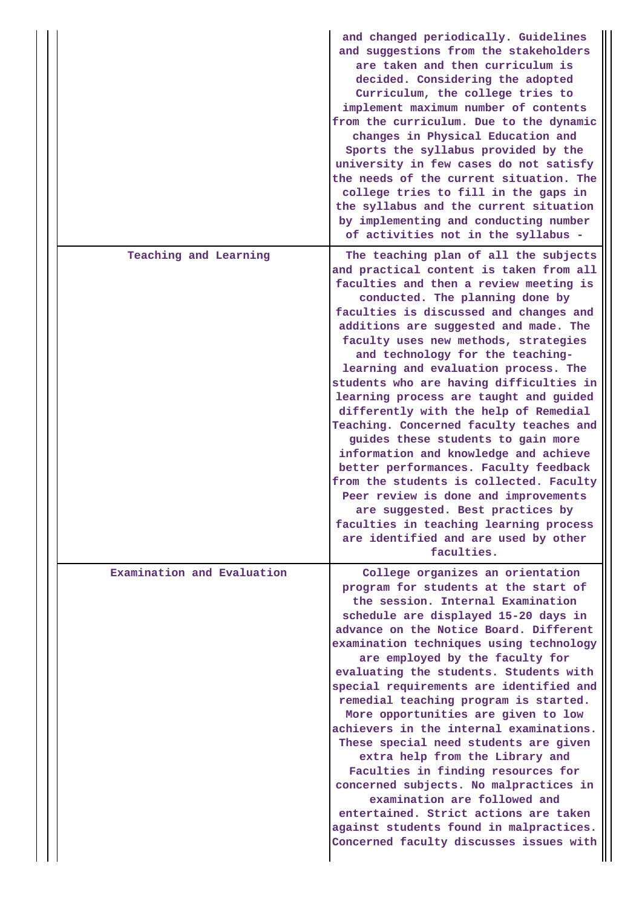|                            | and changed periodically. Guidelines<br>and suggestions from the stakeholders<br>are taken and then curriculum is<br>decided. Considering the adopted<br>Curriculum, the college tries to<br>implement maximum number of contents<br>from the curriculum. Due to the dynamic<br>changes in Physical Education and<br>Sports the syllabus provided by the<br>university in few cases do not satisfy<br>the needs of the current situation. The<br>college tries to fill in the gaps in<br>the syllabus and the current situation<br>by implementing and conducting number<br>of activities not in the syllabus -                                                                                                                                                                                                                                                                              |
|----------------------------|----------------------------------------------------------------------------------------------------------------------------------------------------------------------------------------------------------------------------------------------------------------------------------------------------------------------------------------------------------------------------------------------------------------------------------------------------------------------------------------------------------------------------------------------------------------------------------------------------------------------------------------------------------------------------------------------------------------------------------------------------------------------------------------------------------------------------------------------------------------------------------------------|
| Teaching and Learning      | The teaching plan of all the subjects<br>and practical content is taken from all<br>faculties and then a review meeting is<br>conducted. The planning done by<br>faculties is discussed and changes and<br>additions are suggested and made. The<br>faculty uses new methods, strategies<br>and technology for the teaching-<br>learning and evaluation process. The<br>students who are having difficulties in<br>learning process are taught and guided<br>differently with the help of Remedial<br>Teaching. Concerned faculty teaches and<br>guides these students to gain more<br>information and knowledge and achieve<br>better performances. Faculty feedback<br>from the students is collected. Faculty<br>Peer review is done and improvements<br>are suggested. Best practices by<br>faculties in teaching learning process<br>are identified and are used by other<br>faculties. |
| Examination and Evaluation | College organizes an orientation<br>program for students at the start of<br>the session. Internal Examination<br>schedule are displayed 15-20 days in<br>advance on the Notice Board. Different<br>examination techniques using technology<br>are employed by the faculty for<br>evaluating the students. Students with<br>special requirements are identified and<br>remedial teaching program is started.<br>More opportunities are given to low<br>achievers in the internal examinations.<br>These special need students are given<br>extra help from the Library and<br>Faculties in finding resources for<br>concerned subjects. No malpractices in<br>examination are followed and<br>entertained. Strict actions are taken<br>against students found in malpractices.<br>Concerned faculty discusses issues with                                                                     |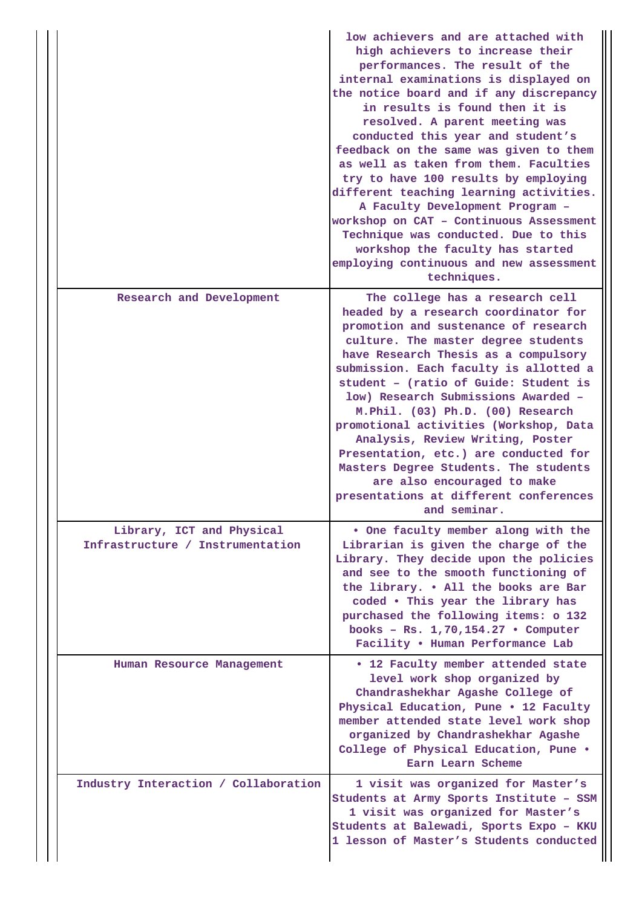|                                                               | low achievers and are attached with<br>high achievers to increase their<br>performances. The result of the<br>internal examinations is displayed on<br>the notice board and if any discrepancy<br>in results is found then it is<br>resolved. A parent meeting was<br>conducted this year and student's<br>feedback on the same was given to them<br>as well as taken from them. Faculties<br>try to have 100 results by employing<br>different teaching learning activities.<br>A Faculty Development Program -<br>workshop on CAT - Continuous Assessment<br>Technique was conducted. Due to this<br>workshop the faculty has started<br>employing continuous and new assessment<br>techniques. |
|---------------------------------------------------------------|---------------------------------------------------------------------------------------------------------------------------------------------------------------------------------------------------------------------------------------------------------------------------------------------------------------------------------------------------------------------------------------------------------------------------------------------------------------------------------------------------------------------------------------------------------------------------------------------------------------------------------------------------------------------------------------------------|
| Research and Development                                      | The college has a research cell<br>headed by a research coordinator for<br>promotion and sustenance of research<br>culture. The master degree students<br>have Research Thesis as a compulsory<br>submission. Each faculty is allotted a<br>student - (ratio of Guide: Student is<br>low) Research Submissions Awarded -<br>M.Phil. (03) Ph.D. (00) Research<br>promotional activities (Workshop, Data<br>Analysis, Review Writing, Poster<br>Presentation, etc.) are conducted for<br>Masters Degree Students. The students<br>are also encouraged to make<br>presentations at different conferences<br>and seminar.                                                                             |
| Library, ICT and Physical<br>Infrastructure / Instrumentation | . One faculty member along with the<br>Librarian is given the charge of the<br>Library. They decide upon the policies<br>and see to the smooth functioning of<br>the library. . All the books are Bar<br>coded . This year the library has<br>purchased the following items: o 132<br>books - Rs. $1,70,154.27$ . Computer<br>Facility . Human Performance Lab                                                                                                                                                                                                                                                                                                                                    |
| Human Resource Management                                     | • 12 Faculty member attended state<br>level work shop organized by<br>Chandrashekhar Agashe College of<br>Physical Education, Pune . 12 Faculty<br>member attended state level work shop<br>organized by Chandrashekhar Agashe<br>College of Physical Education, Pune .<br>Earn Learn Scheme                                                                                                                                                                                                                                                                                                                                                                                                      |
| Industry Interaction / Collaboration                          | 1 visit was organized for Master's<br>Students at Army Sports Institute - SSM<br>1 visit was organized for Master's<br>Students at Balewadi, Sports Expo - KKU<br>1 lesson of Master's Students conducted                                                                                                                                                                                                                                                                                                                                                                                                                                                                                         |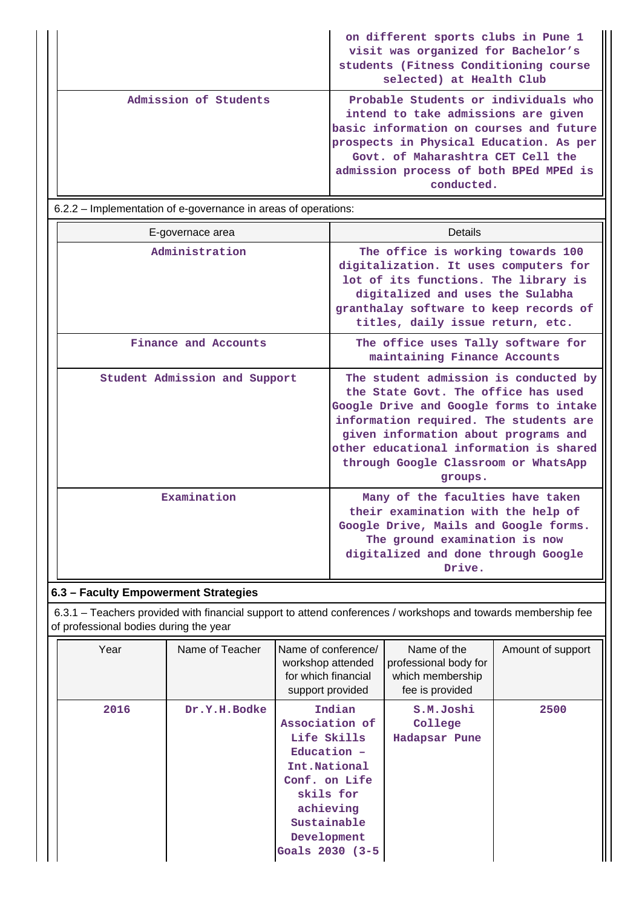|                       | on different sports clubs in Pune 1<br>visit was organized for Bachelor's<br>students (Fitness Conditioning course<br>selected) at Health Club                                                                                                                 |
|-----------------------|----------------------------------------------------------------------------------------------------------------------------------------------------------------------------------------------------------------------------------------------------------------|
| Admission of Students | Probable Students or individuals who<br>intend to take admissions are given<br>basic information on courses and future<br>prospects in Physical Education. As per<br>Govt. of Maharashtra CET Cell the<br>admission process of both BPEd MPEd is<br>conducted. |

6.2.2 – Implementation of e-governance in areas of operations:

| E-governace area              | Details                                                                                                                                                                                                                                                                                                 |
|-------------------------------|---------------------------------------------------------------------------------------------------------------------------------------------------------------------------------------------------------------------------------------------------------------------------------------------------------|
| Administration                | The office is working towards 100<br>digitalization. It uses computers for<br>lot of its functions. The library is<br>digitalized and uses the Sulabha<br>granthalay software to keep records of<br>titles, daily issue return, etc.                                                                    |
| Finance and Accounts          | The office uses Tally software for<br>maintaining Finance Accounts                                                                                                                                                                                                                                      |
| Student Admission and Support | The student admission is conducted by<br>the State Govt. The office has used<br>Google Drive and Google forms to intake<br>information required. The students are<br>given information about programs and<br>other educational information is shared<br>through Google Classroom or WhatsApp<br>groups. |
| Examination                   | Many of the faculties have taken<br>their examination with the help of<br>Google Drive, Mails and Google forms.<br>The ground examination is now<br>digitalized and done through Google<br>Drive.                                                                                                       |

# **6.3 – Faculty Empowerment Strategies**

 6.3.1 – Teachers provided with financial support to attend conferences / workshops and towards membership fee of professional bodies during the year

| Year | Name of Teacher | Name of conference/<br>workshop attended<br>for which financial<br>support provided                                                                                  | Name of the<br>professional body for<br>which membership<br>fee is provided | Amount of support |
|------|-----------------|----------------------------------------------------------------------------------------------------------------------------------------------------------------------|-----------------------------------------------------------------------------|-------------------|
| 2016 | Dr.Y.H.Bodke    | Indian<br>Association of<br>Life Skills<br>$Education -$<br>Int.National<br>Conf. on Life<br>skils for<br>achieving<br>Sustainable<br>Development<br>Goals 2030 (3-5 | S.M.Joshi<br>College<br>Hadapsar Pune                                       | 2500              |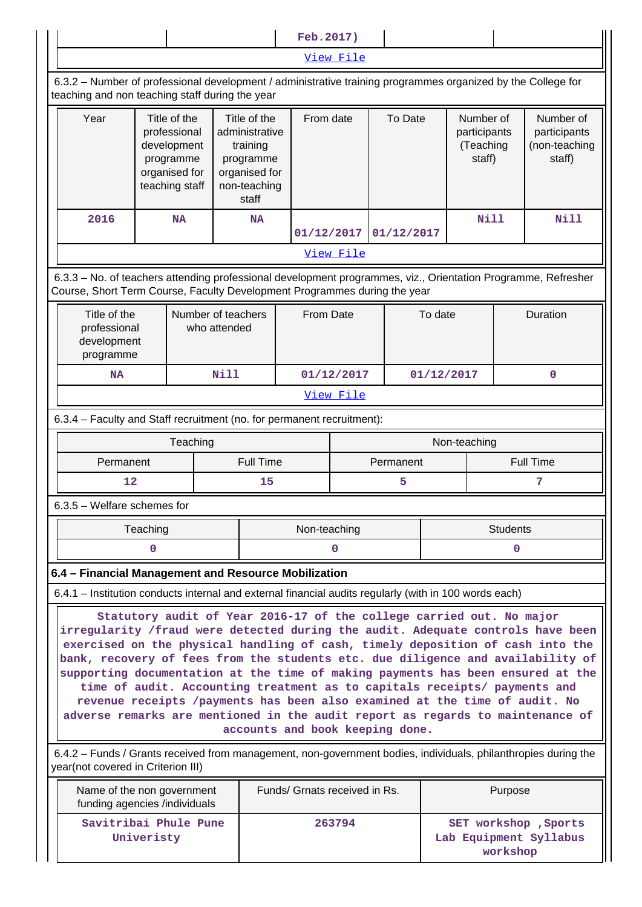|                                                                                                                                                                                                                                                                                                                                                                                                                                                                                                                                                                                                                                                                                                                                                                                                                                                         |                                                                                                | Feb. 2017) |                  |                                                                                                   |                               |           |         |            |                                                  |             |                 |                                                      |
|---------------------------------------------------------------------------------------------------------------------------------------------------------------------------------------------------------------------------------------------------------------------------------------------------------------------------------------------------------------------------------------------------------------------------------------------------------------------------------------------------------------------------------------------------------------------------------------------------------------------------------------------------------------------------------------------------------------------------------------------------------------------------------------------------------------------------------------------------------|------------------------------------------------------------------------------------------------|------------|------------------|---------------------------------------------------------------------------------------------------|-------------------------------|-----------|---------|------------|--------------------------------------------------|-------------|-----------------|------------------------------------------------------|
|                                                                                                                                                                                                                                                                                                                                                                                                                                                                                                                                                                                                                                                                                                                                                                                                                                                         | View File                                                                                      |            |                  |                                                                                                   |                               |           |         |            |                                                  |             |                 |                                                      |
| 6.3.2 - Number of professional development / administrative training programmes organized by the College for<br>teaching and non teaching staff during the year                                                                                                                                                                                                                                                                                                                                                                                                                                                                                                                                                                                                                                                                                         |                                                                                                |            |                  |                                                                                                   |                               |           |         |            |                                                  |             |                 |                                                      |
| Year                                                                                                                                                                                                                                                                                                                                                                                                                                                                                                                                                                                                                                                                                                                                                                                                                                                    | Title of the<br>professional<br>development<br>programme<br>organised for<br>teaching staff    |            |                  | Title of the<br>administrative<br>training<br>programme<br>organised for<br>non-teaching<br>staff |                               | From date | To Date |            | Number of<br>participants<br>(Teaching<br>staff) |             |                 | Number of<br>participants<br>(non-teaching<br>staff) |
| 2016                                                                                                                                                                                                                                                                                                                                                                                                                                                                                                                                                                                                                                                                                                                                                                                                                                                    |                                                                                                | <b>NA</b>  | <b>NA</b>        |                                                                                                   | 01/12/2017                    |           |         | 01/12/2017 |                                                  | <b>Nill</b> |                 | Nill                                                 |
|                                                                                                                                                                                                                                                                                                                                                                                                                                                                                                                                                                                                                                                                                                                                                                                                                                                         |                                                                                                |            |                  |                                                                                                   |                               | View File |         |            |                                                  |             |                 |                                                      |
| 6.3.3 - No. of teachers attending professional development programmes, viz., Orientation Programme, Refresher<br>Course, Short Term Course, Faculty Development Programmes during the year                                                                                                                                                                                                                                                                                                                                                                                                                                                                                                                                                                                                                                                              |                                                                                                |            |                  |                                                                                                   |                               |           |         |            |                                                  |             |                 |                                                      |
|                                                                                                                                                                                                                                                                                                                                                                                                                                                                                                                                                                                                                                                                                                                                                                                                                                                         | Title of the<br>Number of teachers<br>professional<br>who attended<br>development<br>programme |            |                  |                                                                                                   | <b>From Date</b>              |           |         | To date    |                                                  | Duration    |                 |                                                      |
| <b>NA</b>                                                                                                                                                                                                                                                                                                                                                                                                                                                                                                                                                                                                                                                                                                                                                                                                                                               |                                                                                                |            | <b>Nill</b>      |                                                                                                   | 01/12/2017                    |           |         |            | 01/12/2017                                       |             | $\mathbf 0$     |                                                      |
|                                                                                                                                                                                                                                                                                                                                                                                                                                                                                                                                                                                                                                                                                                                                                                                                                                                         |                                                                                                |            |                  |                                                                                                   |                               | View File |         |            |                                                  |             |                 |                                                      |
| 6.3.4 - Faculty and Staff recruitment (no. for permanent recruitment):                                                                                                                                                                                                                                                                                                                                                                                                                                                                                                                                                                                                                                                                                                                                                                                  |                                                                                                |            |                  |                                                                                                   |                               |           |         |            |                                                  |             |                 |                                                      |
|                                                                                                                                                                                                                                                                                                                                                                                                                                                                                                                                                                                                                                                                                                                                                                                                                                                         | Teaching<br>Non-teaching                                                                       |            |                  |                                                                                                   |                               |           |         |            |                                                  |             |                 |                                                      |
| Permanent                                                                                                                                                                                                                                                                                                                                                                                                                                                                                                                                                                                                                                                                                                                                                                                                                                               |                                                                                                |            | <b>Full Time</b> |                                                                                                   | Permanent                     |           |         |            | <b>Full Time</b>                                 |             |                 |                                                      |
| 12                                                                                                                                                                                                                                                                                                                                                                                                                                                                                                                                                                                                                                                                                                                                                                                                                                                      |                                                                                                |            |                  | 15                                                                                                |                               | 5         |         |            |                                                  |             |                 |                                                      |
| 6.3.5 - Welfare schemes for                                                                                                                                                                                                                                                                                                                                                                                                                                                                                                                                                                                                                                                                                                                                                                                                                             |                                                                                                |            |                  |                                                                                                   |                               |           |         |            |                                                  |             |                 |                                                      |
|                                                                                                                                                                                                                                                                                                                                                                                                                                                                                                                                                                                                                                                                                                                                                                                                                                                         | Teaching                                                                                       |            |                  |                                                                                                   | Non-teaching                  |           |         |            |                                                  |             | <b>Students</b> |                                                      |
|                                                                                                                                                                                                                                                                                                                                                                                                                                                                                                                                                                                                                                                                                                                                                                                                                                                         | 0                                                                                              |            |                  |                                                                                                   |                               | 0         |         |            |                                                  |             | 0               |                                                      |
| 6.4 - Financial Management and Resource Mobilization                                                                                                                                                                                                                                                                                                                                                                                                                                                                                                                                                                                                                                                                                                                                                                                                    |                                                                                                |            |                  |                                                                                                   |                               |           |         |            |                                                  |             |                 |                                                      |
| 6.4.1 – Institution conducts internal and external financial audits regularly (with in 100 words each)                                                                                                                                                                                                                                                                                                                                                                                                                                                                                                                                                                                                                                                                                                                                                  |                                                                                                |            |                  |                                                                                                   |                               |           |         |            |                                                  |             |                 |                                                      |
| Statutory audit of Year 2016-17 of the college carried out. No major<br>irregularity /fraud were detected during the audit. Adequate controls have been<br>exercised on the physical handling of cash, timely deposition of cash into the<br>bank, recovery of fees from the students etc. due diligence and availability of<br>supporting documentation at the time of making payments has been ensured at the<br>time of audit. Accounting treatment as to capitals receipts/ payments and<br>revenue receipts /payments has been also examined at the time of audit. No<br>adverse remarks are mentioned in the audit report as regards to maintenance of<br>accounts and book keeping done.<br>6.4.2 – Funds / Grants received from management, non-government bodies, individuals, philanthropies during the<br>year(not covered in Criterion III) |                                                                                                |            |                  |                                                                                                   |                               |           |         |            |                                                  |             |                 |                                                      |
| Name of the non government<br>funding agencies /individuals                                                                                                                                                                                                                                                                                                                                                                                                                                                                                                                                                                                                                                                                                                                                                                                             |                                                                                                |            |                  |                                                                                                   | Funds/ Grnats received in Rs. |           |         |            |                                                  |             | Purpose         |                                                      |
| Savitribai Phule Pune                                                                                                                                                                                                                                                                                                                                                                                                                                                                                                                                                                                                                                                                                                                                                                                                                                   | Univeristy                                                                                     |            |                  |                                                                                                   |                               | 263794    |         |            |                                                  |             |                 | SET workshop , Sports<br>Lab Equipment Syllabus      |

**workshop**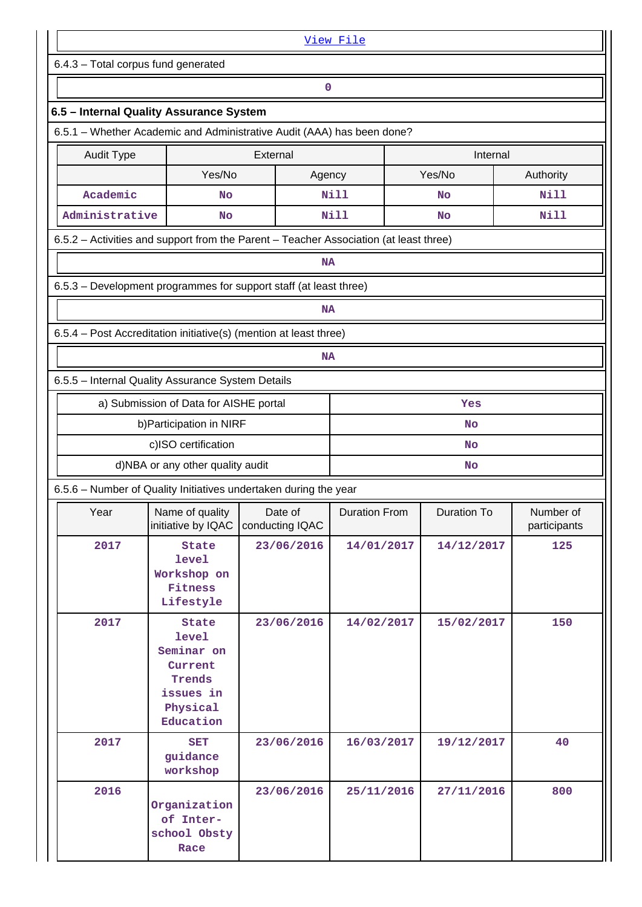|                                                                                       |                                                                                                |                            | View File            |             |                           |  |  |  |  |  |
|---------------------------------------------------------------------------------------|------------------------------------------------------------------------------------------------|----------------------------|----------------------|-------------|---------------------------|--|--|--|--|--|
| 6.4.3 - Total corpus fund generated                                                   |                                                                                                |                            |                      |             |                           |  |  |  |  |  |
| 0                                                                                     |                                                                                                |                            |                      |             |                           |  |  |  |  |  |
| 6.5 - Internal Quality Assurance System                                               |                                                                                                |                            |                      |             |                           |  |  |  |  |  |
| 6.5.1 - Whether Academic and Administrative Audit (AAA) has been done?                |                                                                                                |                            |                      |             |                           |  |  |  |  |  |
| <b>Audit Type</b>                                                                     |                                                                                                | External                   |                      | Internal    |                           |  |  |  |  |  |
|                                                                                       | Yes/No                                                                                         |                            | Agency               | Yes/No      | Authority                 |  |  |  |  |  |
| Academic                                                                              | <b>No</b>                                                                                      |                            | <b>Nill</b>          | No          | <b>Nill</b>               |  |  |  |  |  |
| Administrative                                                                        | No                                                                                             |                            | Nill                 | No          | Nill                      |  |  |  |  |  |
| 6.5.2 - Activities and support from the Parent - Teacher Association (at least three) |                                                                                                |                            |                      |             |                           |  |  |  |  |  |
|                                                                                       |                                                                                                | <b>NA</b>                  |                      |             |                           |  |  |  |  |  |
| 6.5.3 – Development programmes for support staff (at least three)                     |                                                                                                |                            |                      |             |                           |  |  |  |  |  |
|                                                                                       |                                                                                                | <b>NA</b>                  |                      |             |                           |  |  |  |  |  |
| 6.5.4 - Post Accreditation initiative(s) (mention at least three)                     |                                                                                                |                            |                      |             |                           |  |  |  |  |  |
|                                                                                       |                                                                                                | NA                         |                      |             |                           |  |  |  |  |  |
| 6.5.5 - Internal Quality Assurance System Details                                     |                                                                                                |                            |                      |             |                           |  |  |  |  |  |
|                                                                                       | a) Submission of Data for AISHE portal                                                         |                            |                      | Yes         |                           |  |  |  |  |  |
|                                                                                       | b) Participation in NIRF                                                                       |                            |                      | <b>No</b>   |                           |  |  |  |  |  |
|                                                                                       | c)ISO certification                                                                            |                            |                      | No          |                           |  |  |  |  |  |
|                                                                                       | d)NBA or any other quality audit                                                               |                            | <b>No</b>            |             |                           |  |  |  |  |  |
| 6.5.6 - Number of Quality Initiatives undertaken during the year                      |                                                                                                |                            |                      |             |                           |  |  |  |  |  |
| Year                                                                                  | Name of quality<br>initiative by IQAC                                                          | Date of<br>conducting IQAC | <b>Duration From</b> | Duration To | Number of<br>participants |  |  |  |  |  |
| 2017                                                                                  | <b>State</b><br><b>level</b><br>Workshop on<br>Fitness<br>Lifestyle                            | 23/06/2016                 | 14/01/2017           | 14/12/2017  | 125                       |  |  |  |  |  |
| 2017                                                                                  | State<br><b>level</b><br>Seminar on<br>Current<br>Trends<br>issues in<br>Physical<br>Education |                            | 14/02/2017           | 15/02/2017  | 150                       |  |  |  |  |  |
| 2017                                                                                  | <b>SET</b><br>guidance<br>workshop                                                             | 23/06/2016                 | 16/03/2017           | 19/12/2017  | 40                        |  |  |  |  |  |
| 2016                                                                                  | Organization<br>of Inter-<br>school Obsty<br>Race                                              | 23/06/2016                 | 25/11/2016           | 27/11/2016  | 800                       |  |  |  |  |  |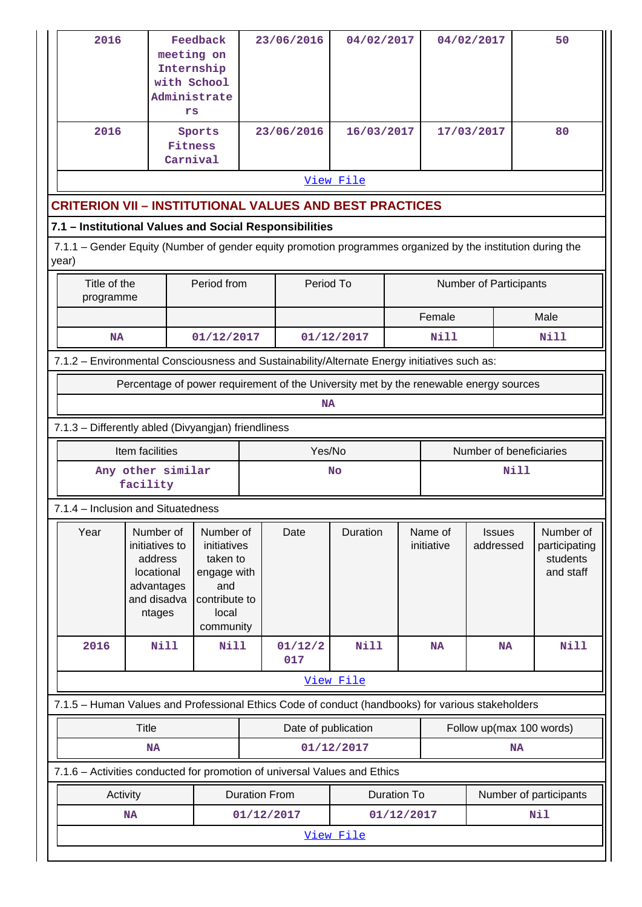| 2016                                                                                                                                                                           |                                                                                              | Feedback<br>meeting on<br>Internship<br>with School<br>Administrate<br>rs |                                                                                   | 23/06/2016               | 04/02/2017                                                                            |                    |                       | 04/02/2017                 |  | 50                                                  |
|--------------------------------------------------------------------------------------------------------------------------------------------------------------------------------|----------------------------------------------------------------------------------------------|---------------------------------------------------------------------------|-----------------------------------------------------------------------------------|--------------------------|---------------------------------------------------------------------------------------|--------------------|-----------------------|----------------------------|--|-----------------------------------------------------|
| 2016                                                                                                                                                                           |                                                                                              | Sports<br>Fitness<br>Carnival                                             |                                                                                   | 23/06/2016               | 16/03/2017                                                                            |                    |                       | 17/03/2017                 |  | 80                                                  |
|                                                                                                                                                                                |                                                                                              |                                                                           |                                                                                   |                          | View File                                                                             |                    |                       |                            |  |                                                     |
| <b>CRITERION VII - INSTITUTIONAL VALUES AND BEST PRACTICES</b>                                                                                                                 |                                                                                              |                                                                           |                                                                                   |                          |                                                                                       |                    |                       |                            |  |                                                     |
|                                                                                                                                                                                |                                                                                              |                                                                           |                                                                                   |                          |                                                                                       |                    |                       |                            |  |                                                     |
| 7.1 - Institutional Values and Social Responsibilities<br>7.1.1 - Gender Equity (Number of gender equity promotion programmes organized by the institution during the<br>year) |                                                                                              |                                                                           |                                                                                   |                          |                                                                                       |                    |                       |                            |  |                                                     |
|                                                                                                                                                                                | Period from<br>Period To<br>Title of the<br>Number of Participants<br>programme              |                                                                           |                                                                                   |                          |                                                                                       |                    |                       |                            |  |                                                     |
|                                                                                                                                                                                |                                                                                              |                                                                           |                                                                                   |                          |                                                                                       |                    | Female                |                            |  | Male                                                |
| <b>NA</b>                                                                                                                                                                      |                                                                                              | 01/12/2017                                                                |                                                                                   |                          | 01/12/2017                                                                            |                    | <b>Nill</b>           |                            |  | <b>Nill</b>                                         |
|                                                                                                                                                                                | 7.1.2 - Environmental Consciousness and Sustainability/Alternate Energy initiatives such as: |                                                                           |                                                                                   |                          |                                                                                       |                    |                       |                            |  |                                                     |
|                                                                                                                                                                                |                                                                                              |                                                                           |                                                                                   |                          | Percentage of power requirement of the University met by the renewable energy sources |                    |                       |                            |  |                                                     |
|                                                                                                                                                                                |                                                                                              |                                                                           |                                                                                   | <b>NA</b>                |                                                                                       |                    |                       |                            |  |                                                     |
| 7.1.3 - Differently abled (Divyangjan) friendliness                                                                                                                            |                                                                                              |                                                                           |                                                                                   |                          |                                                                                       |                    |                       |                            |  |                                                     |
|                                                                                                                                                                                | Item facilities                                                                              |                                                                           |                                                                                   | Yes/No                   |                                                                                       |                    |                       | Number of beneficiaries    |  |                                                     |
|                                                                                                                                                                                | Any other similar<br>facility                                                                |                                                                           |                                                                                   | <b>Nill</b><br><b>No</b> |                                                                                       |                    |                       |                            |  |                                                     |
| 7.1.4 – Inclusion and Situatedness                                                                                                                                             |                                                                                              |                                                                           |                                                                                   |                          |                                                                                       |                    |                       |                            |  |                                                     |
| Year                                                                                                                                                                           | Number of<br>initiatives to<br>address<br>locational<br>advantages<br>and disadva<br>ntages  |                                                                           | Number of<br>initiatives<br>taken to<br>engage with<br>contribute to<br>community | Date                     | Duration                                                                              |                    | Name of<br>initiative | <b>Issues</b><br>addressed |  | Number of<br>participating<br>students<br>and staff |
| 2016                                                                                                                                                                           | <b>Nill</b>                                                                                  | <b>Nill</b>                                                               |                                                                                   | 01/12/2<br>017           | <b>Nill</b>                                                                           |                    | <b>NA</b>             | <b>NA</b>                  |  | <b>Nill</b>                                         |
|                                                                                                                                                                                |                                                                                              |                                                                           |                                                                                   |                          | View File                                                                             |                    |                       |                            |  |                                                     |
| 7.1.5 - Human Values and Professional Ethics Code of conduct (handbooks) for various stakeholders                                                                              |                                                                                              |                                                                           |                                                                                   |                          |                                                                                       |                    |                       |                            |  |                                                     |
|                                                                                                                                                                                | <b>Title</b><br>Date of publication<br>Follow up(max 100 words)                              |                                                                           |                                                                                   |                          |                                                                                       |                    |                       |                            |  |                                                     |
|                                                                                                                                                                                | 01/12/2017<br><b>NA</b><br><b>NA</b>                                                         |                                                                           |                                                                                   |                          |                                                                                       |                    |                       |                            |  |                                                     |
| 7.1.6 - Activities conducted for promotion of universal Values and Ethics                                                                                                      |                                                                                              |                                                                           |                                                                                   |                          |                                                                                       |                    |                       |                            |  |                                                     |
| Activity                                                                                                                                                                       |                                                                                              |                                                                           | <b>Duration From</b>                                                              |                          |                                                                                       | <b>Duration To</b> |                       |                            |  | Number of participants                              |
| <b>NA</b>                                                                                                                                                                      |                                                                                              |                                                                           | 01/12/2017                                                                        |                          |                                                                                       | 01/12/2017         |                       |                            |  | Nil                                                 |
|                                                                                                                                                                                |                                                                                              |                                                                           |                                                                                   |                          | View File                                                                             |                    |                       |                            |  |                                                     |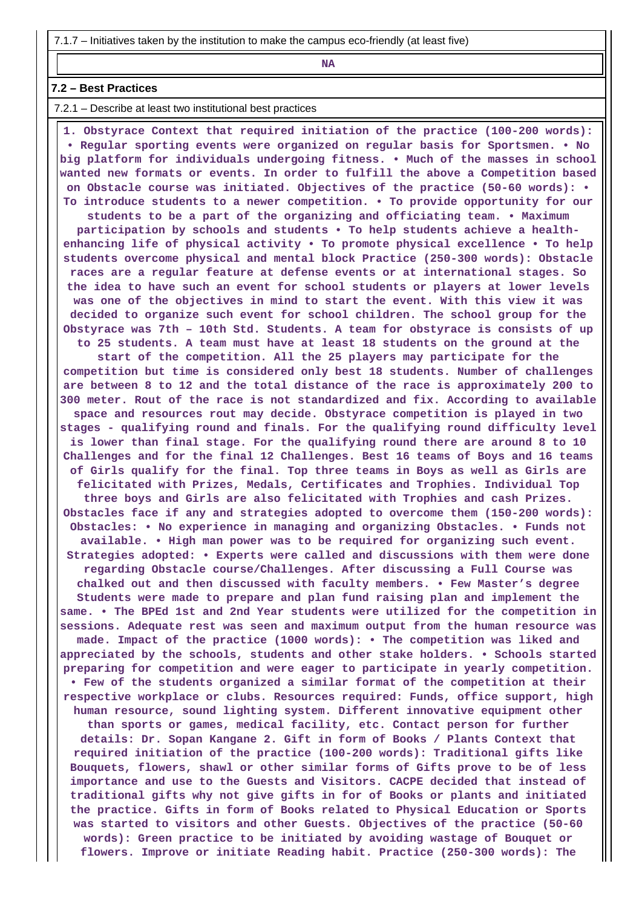7.1.7 – Initiatives taken by the institution to make the campus eco-friendly (at least five)

**NA** 

#### **7.2 – Best Practices**

7.2.1 – Describe at least two institutional best practices

 **1. Obstyrace Context that required initiation of the practice (100-200 words): • Regular sporting events were organized on regular basis for Sportsmen. • No big platform for individuals undergoing fitness. • Much of the masses in school wanted new formats or events. In order to fulfill the above a Competition based on Obstacle course was initiated. Objectives of the practice (50-60 words): • To introduce students to a newer competition. • To provide opportunity for our students to be a part of the organizing and officiating team. • Maximum participation by schools and students • To help students achieve a healthenhancing life of physical activity • To promote physical excellence • To help students overcome physical and mental block Practice (250-300 words): Obstacle races are a regular feature at defense events or at international stages. So the idea to have such an event for school students or players at lower levels was one of the objectives in mind to start the event. With this view it was decided to organize such event for school children. The school group for the Obstyrace was 7th – 10th Std. Students. A team for obstyrace is consists of up to 25 students. A team must have at least 18 students on the ground at the start of the competition. All the 25 players may participate for the competition but time is considered only best 18 students. Number of challenges are between 8 to 12 and the total distance of the race is approximately 200 to 300 meter. Rout of the race is not standardized and fix. According to available space and resources rout may decide. Obstyrace competition is played in two stages - qualifying round and finals. For the qualifying round difficulty level is lower than final stage. For the qualifying round there are around 8 to 10 Challenges and for the final 12 Challenges. Best 16 teams of Boys and 16 teams of Girls qualify for the final. Top three teams in Boys as well as Girls are felicitated with Prizes, Medals, Certificates and Trophies. Individual Top three boys and Girls are also felicitated with Trophies and cash Prizes. Obstacles face if any and strategies adopted to overcome them (150-200 words): Obstacles: • No experience in managing and organizing Obstacles. • Funds not available. • High man power was to be required for organizing such event. Strategies adopted: • Experts were called and discussions with them were done regarding Obstacle course/Challenges. After discussing a Full Course was chalked out and then discussed with faculty members. • Few Master's degree Students were made to prepare and plan fund raising plan and implement the same. • The BPEd 1st and 2nd Year students were utilized for the competition in sessions. Adequate rest was seen and maximum output from the human resource was made. Impact of the practice (1000 words): • The competition was liked and appreciated by the schools, students and other stake holders. • Schools started preparing for competition and were eager to participate in yearly competition. • Few of the students organized a similar format of the competition at their respective workplace or clubs. Resources required: Funds, office support, high human resource, sound lighting system. Different innovative equipment other than sports or games, medical facility, etc. Contact person for further details: Dr. Sopan Kangane 2. Gift in form of Books / Plants Context that required initiation of the practice (100-200 words): Traditional gifts like Bouquets, flowers, shawl or other similar forms of Gifts prove to be of less importance and use to the Guests and Visitors. CACPE decided that instead of traditional gifts why not give gifts in for of Books or plants and initiated the practice. Gifts in form of Books related to Physical Education or Sports was started to visitors and other Guests. Objectives of the practice (50-60 words): Green practice to be initiated by avoiding wastage of Bouquet or flowers. Improve or initiate Reading habit. Practice (250-300 words): The**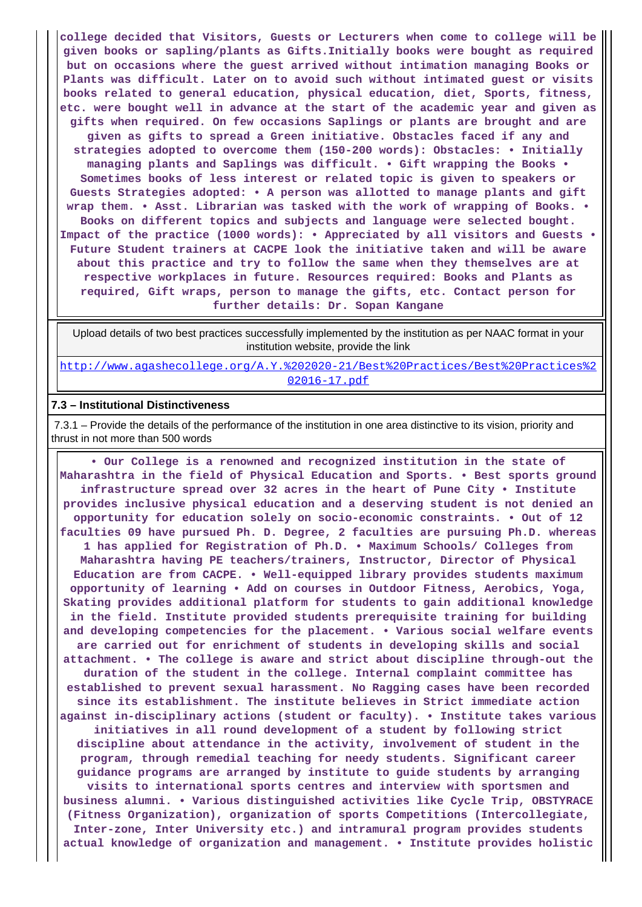**college decided that Visitors, Guests or Lecturers when come to college will be given books or sapling/plants as Gifts.Initially books were bought as required but on occasions where the guest arrived without intimation managing Books or Plants was difficult. Later on to avoid such without intimated guest or visits books related to general education, physical education, diet, Sports, fitness, etc. were bought well in advance at the start of the academic year and given as gifts when required. On few occasions Saplings or plants are brought and are given as gifts to spread a Green initiative. Obstacles faced if any and strategies adopted to overcome them (150-200 words): Obstacles: • Initially managing plants and Saplings was difficult. • Gift wrapping the Books • Sometimes books of less interest or related topic is given to speakers or Guests Strategies adopted: • A person was allotted to manage plants and gift wrap them. • Asst. Librarian was tasked with the work of wrapping of Books. • Books on different topics and subjects and language were selected bought. Impact of the practice (1000 words): • Appreciated by all visitors and Guests • Future Student trainers at CACPE look the initiative taken and will be aware about this practice and try to follow the same when they themselves are at respective workplaces in future. Resources required: Books and Plants as required, Gift wraps, person to manage the gifts, etc. Contact person for further details: Dr. Sopan Kangane**

 Upload details of two best practices successfully implemented by the institution as per NAAC format in your institution website, provide the link

[http://www.agashecollege.org/A.Y.%202020-21/Best%20Practices/Best%20Practices%2](http://www.agashecollege.org/A.Y.%202020-21/Best%20Practices/Best%20Practices%202016-17.pdf) [02016-17.pdf](http://www.agashecollege.org/A.Y.%202020-21/Best%20Practices/Best%20Practices%202016-17.pdf)

#### **7.3 – Institutional Distinctiveness**

 7.3.1 – Provide the details of the performance of the institution in one area distinctive to its vision, priority and thrust in not more than 500 words

 **• Our College is a renowned and recognized institution in the state of Maharashtra in the field of Physical Education and Sports. • Best sports ground infrastructure spread over 32 acres in the heart of Pune City • Institute provides inclusive physical education and a deserving student is not denied an opportunity for education solely on socio-economic constraints. • Out of 12 faculties 09 have pursued Ph. D. Degree, 2 faculties are pursuing Ph.D. whereas 1 has applied for Registration of Ph.D. • Maximum Schools/ Colleges from Maharashtra having PE teachers/trainers, Instructor, Director of Physical Education are from CACPE. • Well-equipped library provides students maximum opportunity of learning • Add on courses in Outdoor Fitness, Aerobics, Yoga, Skating provides additional platform for students to gain additional knowledge in the field. Institute provided students prerequisite training for building and developing competencies for the placement. • Various social welfare events are carried out for enrichment of students in developing skills and social attachment. • The college is aware and strict about discipline through-out the duration of the student in the college. Internal complaint committee has established to prevent sexual harassment. No Ragging cases have been recorded since its establishment. The institute believes in Strict immediate action against in-disciplinary actions (student or faculty). • Institute takes various initiatives in all round development of a student by following strict discipline about attendance in the activity, involvement of student in the program, through remedial teaching for needy students. Significant career guidance programs are arranged by institute to guide students by arranging visits to international sports centres and interview with sportsmen and business alumni. • Various distinguished activities like Cycle Trip, OBSTYRACE (Fitness Organization), organization of sports Competitions (Intercollegiate, Inter-zone, Inter University etc.) and intramural program provides students actual knowledge of organization and management. • Institute provides holistic**